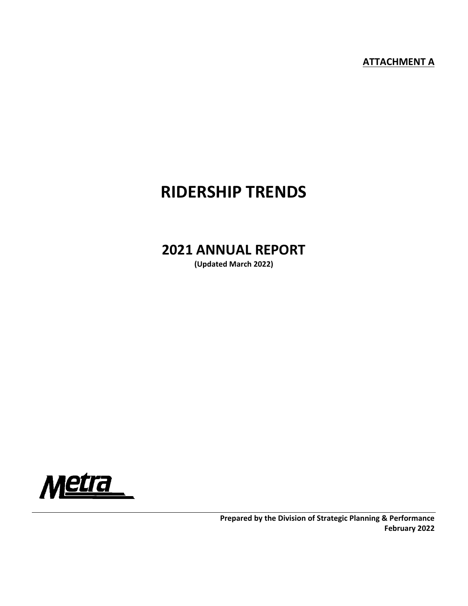**ATTACHMENT A** 

# **RIDERSHIP TRENDS**

## **2021 ANNUAL REPORT**

**(Updated March 2022)** 

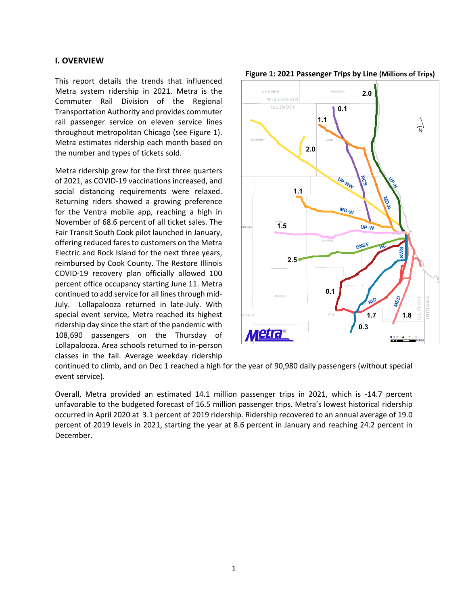## **I. OVERVIEW**

This report details the trends that influenced Metra system ridership in 2021. Metra is the Commuter Rail Division of the Regional Transportation Authority and provides commuter rail passenger service on eleven service lines throughout metropolitan Chicago (see Figure 1). Metra estimates ridership each month based on the number and types of tickets sold.

Metra ridership grew for the first three quarters of 2021, as COVID‐19 vaccinations increased, and social distancing requirements were relaxed. Returning riders showed a growing preference for the Ventra mobile app, reaching a high in November of 68.6 percent of all ticket sales. The Fair Transit South Cook pilot launched in January, offering reduced fares to customers on the Metra Electric and Rock Island for the next three years, reimbursed by Cook County. The Restore Illinois COVID‐19 recovery plan officially allowed 100 percent office occupancy starting June 11. Metra continued to add service for all lines through mid‐ July. Lollapalooza returned in late‐July. With special event service, Metra reached its highest ridership day since the start of the pandemic with 108,690 passengers on the Thursday of Lollapalooza. Area schools returned to in‐person classes in the fall. Average weekday ridership





continued to climb, and on Dec 1 reached a high for the year of 90,980 daily passengers (without special event service).

Overall, Metra provided an estimated 14.1 million passenger trips in 2021, which is -14.7 percent unfavorable to the budgeted forecast of 16.5 million passenger trips. Metra's lowest historical ridership occurred in April 2020 at 3.1 percent of 2019 ridership. Ridership recovered to an annual average of 19.0 percent of 2019 levels in 2021, starting the year at 8.6 percent in January and reaching 24.2 percent in December.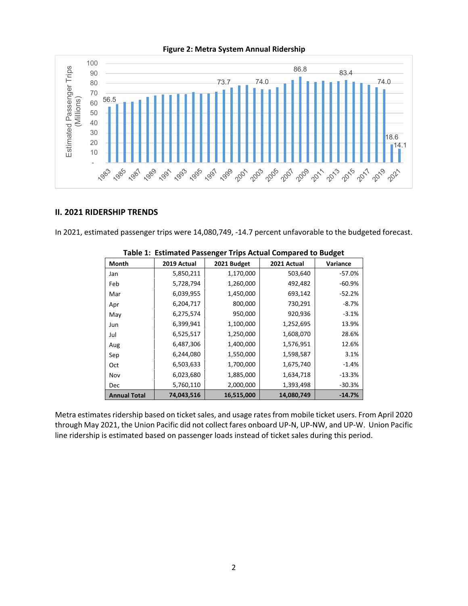#### **Figure 2: Metra System Annual Ridership**



## **II. 2021 RIDERSHIP TRENDS**

In 2021, estimated passenger trips were 14,080,749, ‐14.7 percent unfavorable to the budgeted forecast.

| Month               | 2019 Actual | 2021 Budget | 2021 Actual | Variance |
|---------------------|-------------|-------------|-------------|----------|
| Jan                 | 5,850,211   | 1,170,000   | 503,640     | $-57.0%$ |
| Feb                 | 5,728,794   | 1,260,000   | 492,482     | $-60.9%$ |
| Mar                 | 6,039,955   | 1,450,000   | 693,142     | $-52.2%$ |
| Apr                 | 6,204,717   | 800,000     | 730,291     | $-8.7%$  |
| May                 | 6,275,574   | 950,000     | 920,936     | $-3.1%$  |
| Jun                 | 6,399,941   | 1,100,000   | 1,252,695   | 13.9%    |
| Jul                 | 6,525,517   | 1,250,000   | 1,608,070   | 28.6%    |
| Aug                 | 6,487,306   | 1,400,000   | 1,576,951   | 12.6%    |
| Sep                 | 6,244,080   | 1,550,000   | 1,598,587   | 3.1%     |
| Oct                 | 6,503,633   | 1,700,000   | 1,675,740   | $-1.4%$  |
| Nov                 | 6,023,680   | 1,885,000   | 1,634,718   | $-13.3%$ |
| Dec                 | 5,760,110   | 2,000,000   | 1,393,498   | $-30.3%$ |
| <b>Annual Total</b> | 74,043,516  | 16,515,000  | 14,080,749  | $-14.7%$ |

|  |  |  |  | Table 1: Estimated Passenger Trips Actual Compared to Budget |  |
|--|--|--|--|--------------------------------------------------------------|--|
|--|--|--|--|--------------------------------------------------------------|--|

Metra estimates ridership based on ticket sales, and usage rates from mobile ticket users. From April 2020 through May 2021, the Union Pacific did not collect fares onboard UP‐N, UP‐NW, and UP‐W. Union Pacific line ridership is estimated based on passenger loads instead of ticket sales during this period.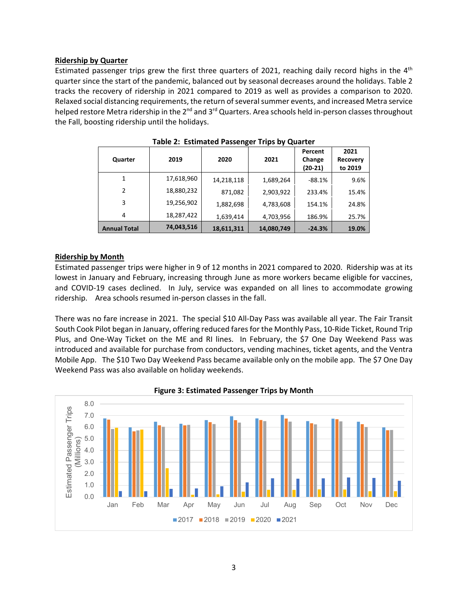## **Ridership by Quarter**

Estimated passenger trips grew the first three quarters of 2021, reaching daily record highs in the  $4<sup>th</sup>$ quarter since the start of the pandemic, balanced out by seasonal decreases around the holidays. Table 2 tracks the recovery of ridership in 2021 compared to 2019 as well as provides a comparison to 2020. Relaxed social distancing requirements, the return of several summer events, and increased Metra service helped restore Metra ridership in the  $2^{nd}$  and  $3^{rd}$  Quarters. Area schools held in-person classes throughout the Fall, boosting ridership until the holidays.

| Quarter             | 2019       | 2020       | 2021       | Percent<br>Change<br>$(20-21)$ | 2021<br><b>Recovery</b><br>to 2019 |
|---------------------|------------|------------|------------|--------------------------------|------------------------------------|
| 1                   | 17,618,960 | 14,218,118 | 1,689,264  | $-88.1%$                       | 9.6%                               |
| $\mathcal{P}$       | 18,880,232 | 871,082    | 2,903,922  | 233.4%                         | 15.4%                              |
| 3                   | 19,256,902 | 1,882,698  | 4,783,608  | 154.1%                         | 24.8%                              |
| 4                   | 18,287,422 | 1,639,414  | 4,703,956  | 186.9%                         | 25.7%                              |
| <b>Annual Total</b> | 74,043,516 | 18,611,311 | 14,080,749 | $-24.3%$                       | 19.0%                              |

**Table 2: Estimated Passenger Trips by Quarter** 

## **Ridership by Month**

Estimated passenger trips were higher in 9 of 12 months in 2021 compared to 2020. Ridership was at its lowest in January and February, increasing through June as more workers became eligible for vaccines, and COVID-19 cases declined. In July, service was expanded on all lines to accommodate growing ridership. Area schools resumed in-person classes in the fall.

There was no fare increase in 2021. The special \$10 All‐Day Pass was available all year. The Fair Transit South Cook Pilot began in January, offering reduced fares for the Monthly Pass, 10‐Ride Ticket, Round Trip Plus, and One-Way Ticket on the ME and RI lines. In February, the \$7 One Day Weekend Pass was introduced and available for purchase from conductors, vending machines, ticket agents, and the Ventra Mobile App. The \$10 Two Day Weekend Pass became available only on the mobile app. The \$7 One Day Weekend Pass was also available on holiday weekends.



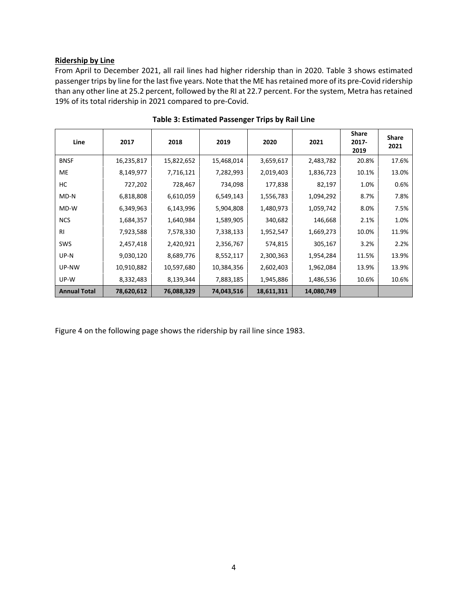## **Ridership by Line**

From April to December 2021, all rail lines had higher ridership than in 2020. Table 3 shows estimated passenger trips by line for the last five years. Note that the ME has retained more of its pre‐Covid ridership than any other line at 25.2 percent, followed by the RI at 22.7 percent. For the system, Metra has retained 19% of its total ridership in 2021 compared to pre‐Covid.

| Line                | 2017       | 2018       | 2019       | 2020       | 2021       | <b>Share</b><br>2017-<br>2019 | <b>Share</b><br>2021 |
|---------------------|------------|------------|------------|------------|------------|-------------------------------|----------------------|
| <b>BNSF</b>         | 16,235,817 | 15,822,652 | 15,468,014 | 3,659,617  | 2,483,782  | 20.8%                         | 17.6%                |
| <b>ME</b>           | 8,149,977  | 7,716,121  | 7,282,993  | 2,019,403  | 1,836,723  | 10.1%                         | 13.0%                |
| НC                  | 727,202    | 728,467    | 734,098    | 177,838    | 82,197     | 1.0%                          | 0.6%                 |
| MD-N                | 6,818,808  | 6,610,059  | 6,549,143  | 1,556,783  | 1,094,292  | 8.7%                          | 7.8%                 |
| MD-W                | 6,349,963  | 6,143,996  | 5,904,808  | 1,480,973  | 1,059,742  | 8.0%                          | 7.5%                 |
| <b>NCS</b>          | 1,684,357  | 1,640,984  | 1,589,905  | 340,682    | 146,668    | 2.1%                          | 1.0%                 |
| RI.                 | 7,923,588  | 7,578,330  | 7,338,133  | 1,952,547  | 1,669,273  | 10.0%                         | 11.9%                |
| SWS                 | 2,457,418  | 2,420,921  | 2,356,767  | 574,815    | 305,167    | 3.2%                          | 2.2%                 |
| UP-N                | 9,030,120  | 8,689,776  | 8,552,117  | 2,300,363  | 1,954,284  | 11.5%                         | 13.9%                |
| UP-NW               | 10,910,882 | 10,597,680 | 10,384,356 | 2,602,403  | 1,962,084  | 13.9%                         | 13.9%                |
| UP-W                | 8,332,483  | 8,139,344  | 7,883,185  | 1,945,886  | 1,486,536  | 10.6%                         | 10.6%                |
| <b>Annual Total</b> | 78,620,612 | 76,088,329 | 74,043,516 | 18,611,311 | 14,080,749 |                               |                      |

**Table 3: Estimated Passenger Trips by Rail Line** 

Figure 4 on the following page shows the ridership by rail line since 1983.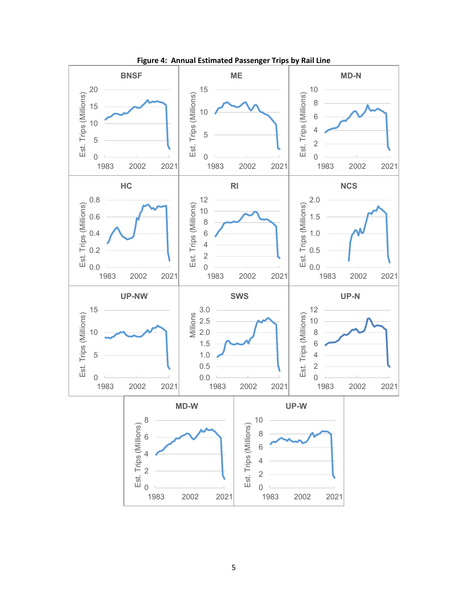

**Figure 4: Annual Estimated Passenger Trips by Rail Line**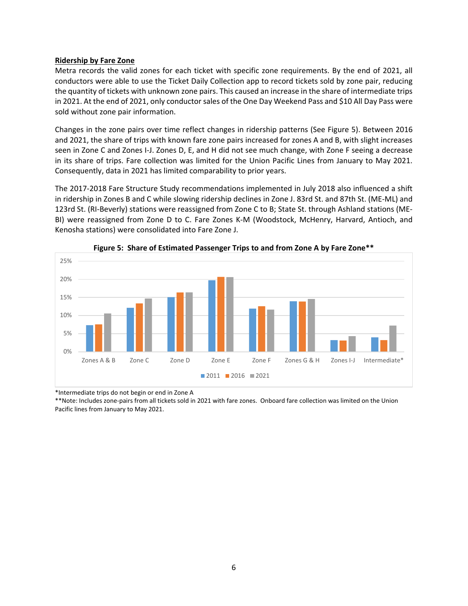#### **Ridership by Fare Zone**

Metra records the valid zones for each ticket with specific zone requirements. By the end of 2021, all conductors were able to use the Ticket Daily Collection app to record tickets sold by zone pair, reducing the quantity of tickets with unknown zone pairs. This caused an increase in the share of intermediate trips in 2021. At the end of 2021, only conductor sales of the One Day Weekend Pass and \$10 All Day Pass were sold without zone pair information.

Changes in the zone pairs over time reflect changes in ridership patterns (See Figure 5). Between 2016 and 2021, the share of trips with known fare zone pairs increased for zones A and B, with slight increases seen in Zone C and Zones I‐J. Zones D, E, and H did not see much change, with Zone F seeing a decrease in its share of trips. Fare collection was limited for the Union Pacific Lines from January to May 2021. Consequently, data in 2021 has limited comparability to prior years.

The 2017‐2018 Fare Structure Study recommendations implemented in July 2018 also influenced a shift in ridership in Zones B and C while slowing ridership declines in Zone J. 83rd St. and 87th St. (ME‐ML) and 123rd St. (RI‐Beverly) stations were reassigned from Zone C to B; State St. through Ashland stations (ME‐ BI) were reassigned from Zone D to C. Fare Zones K-M (Woodstock, McHenry, Harvard, Antioch, and Kenosha stations) were consolidated into Fare Zone J.





\*Intermediate trips do not begin or end in Zone A

\*\*Note: Includes zone‐pairs from all tickets sold in 2021 with fare zones. Onboard fare collection was limited on the Union Pacific lines from January to May 2021.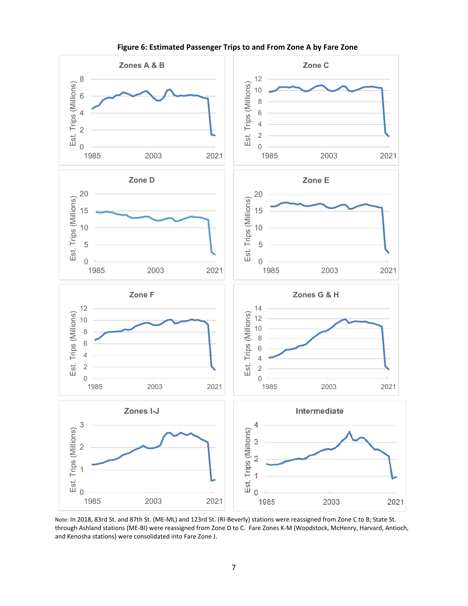

**Figure 6: Estimated Passenger Trips to and From Zone A by Fare Zone** 

Note: In 2018, 83rd St. and 87th St. (ME‐ML) and 123rd St. (RI‐Beverly) stations were reassigned from Zone C to B; State St. through Ashland stations (ME‐BI) were reassigned from Zone D to C. Fare Zones K‐M (Woodstock, McHenry, Harvard, Antioch, and Kenosha stations) were consolidated into Fare Zone J.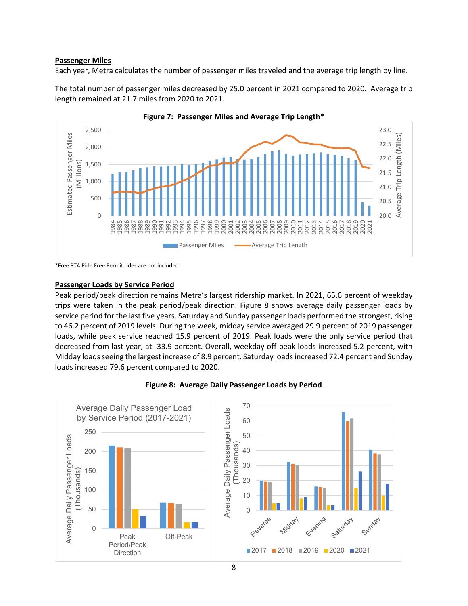## **Passenger Miles**

Each year, Metra calculates the number of passenger miles traveled and the average trip length by line.

The total number of passenger miles decreased by 25.0 percent in 2021 compared to 2020. Average trip length remained at 21.7 miles from 2020 to 2021.





\*Free RTA Ride Free Permit rides are not included.

#### **Passenger Loads by Service Period**

Peak period/peak direction remains Metra's largest ridership market. In 2021, 65.6 percent of weekday trips were taken in the peak period/peak direction. Figure 8 shows average daily passenger loads by service period for the last five years. Saturday and Sunday passenger loads performed the strongest, rising to 46.2 percent of 2019 levels. During the week, midday service averaged 29.9 percent of 2019 passenger loads, while peak service reached 15.9 percent of 2019. Peak loads were the only service period that decreased from last year, at ‐33.9 percent. Overall, weekday off‐peak loads increased 5.2 percent, with Midday loads seeing the largest increase of 8.9 percent. Saturday loads increased 72.4 percent and Sunday loads increased 79.6 percent compared to 2020.



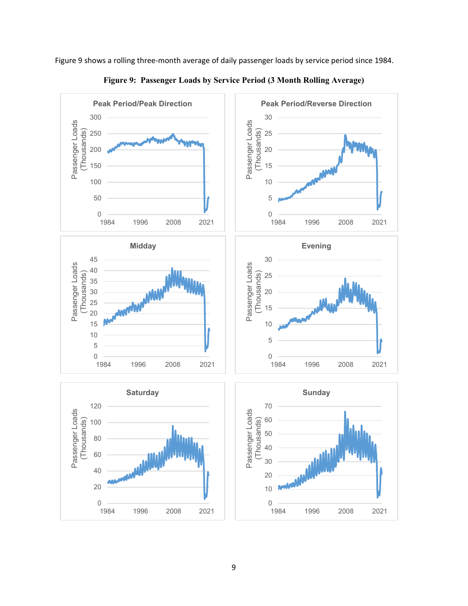Figure 9 shows a rolling three‐month average of daily passenger loads by service period since 1984.



**Figure 9: Passenger Loads by Service Period (3 Month Rolling Average)**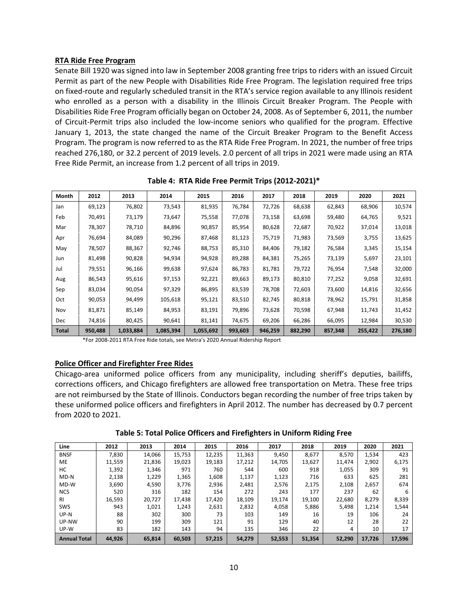## **RTA Ride Free Program**

Senate Bill 1920 was signed into law in September 2008 granting free trips to riders with an issued Circuit Permit as part of the new People with Disabilities Ride Free Program. The legislation required free trips on fixed‐route and regularly scheduled transit in the RTA's service region available to any Illinois resident who enrolled as a person with a disability in the Illinois Circuit Breaker Program. The People with Disabilities Ride Free Program officially began on October 24, 2008. As of September 6, 2011, the number of Circuit-Permit trips also included the low-income seniors who qualified for the program. Effective January 1, 2013, the state changed the name of the Circuit Breaker Program to the Benefit Access Program. The program is now referred to as the RTA Ride Free Program. In 2021, the number of free trips reached 276,180, or 32.2 percent of 2019 levels. 2.0 percent of all trips in 2021 were made using an RTA Free Ride Permit, an increase from 1.2 percent of all trips in 2019.

| Month        | 2012    | 2013      | 2014      | 2015      | 2016    | 2017    | 2018    | 2019    | 2020    | 2021    |
|--------------|---------|-----------|-----------|-----------|---------|---------|---------|---------|---------|---------|
| Jan          | 69,123  | 76,802    | 73,543    | 81,935    | 76,784  | 72,726  | 68,638  | 62,843  | 68,906  | 10,574  |
| Feb          | 70,491  | 73,179    | 73,647    | 75,558    | 77,078  | 73,158  | 63,698  | 59,480  | 64,765  | 9,521   |
| Mar          | 78,307  | 78,710    | 84,896    | 90,857    | 85,954  | 80,628  | 72,687  | 70,922  | 37,014  | 13,018  |
| Apr          | 76,694  | 84,089    | 90,296    | 87,468    | 81,123  | 75,719  | 71,983  | 73,569  | 3,755   | 13,625  |
| May          | 78,507  | 88,367    | 92,746    | 88,753    | 85,310  | 84,406  | 79,182  | 76,584  | 3,345   | 15,154  |
| Jun          | 81,498  | 90,828    | 94,934    | 94,928    | 89,288  | 84,381  | 75,265  | 73,139  | 5,697   | 23,101  |
| Jul          | 79,551  | 96,166    | 99,638    | 97,624    | 86,783  | 81,781  | 79,722  | 76,954  | 7,548   | 32,000  |
| Aug          | 86,543  | 95,616    | 97,153    | 92,221    | 89,663  | 89,173  | 80,810  | 77,252  | 9,058   | 32,691  |
| Sep          | 83,034  | 90,054    | 97,329    | 86,895    | 83,539  | 78,708  | 72,603  | 73,600  | 14,816  | 32,656  |
| Oct          | 90,053  | 94,499    | 105,618   | 95,121    | 83,510  | 82,745  | 80,818  | 78,962  | 15,791  | 31,858  |
| Nov          | 81,871  | 85,149    | 84,953    | 83,191    | 79,896  | 73,628  | 70,598  | 67,948  | 11,743  | 31,452  |
| Dec          | 74,816  | 80,425    | 90,641    | 81,141    | 74,675  | 69,206  | 66,286  | 66,095  | 12,984  | 30,530  |
| <b>Total</b> | 950,488 | 1,033,884 | 1,085,394 | 1,055,692 | 993,603 | 946,259 | 882,290 | 857,348 | 255,422 | 276,180 |

**Table 4: RTA Ride Free Permit Trips (2012‐2021)\*** 

\*For 2008‐2011 RTA Free Ride totals, see Metra's 2020 Annual Ridership Report

#### **Police Officer and Firefighter Free Rides**

Chicago-area uniformed police officers from any municipality, including sheriff's deputies, bailiffs, corrections officers, and Chicago firefighters are allowed free transportation on Metra. These free trips are not reimbursed by the State of Illinois. Conductors began recording the number of free trips taken by these uniformed police officers and firefighters in April 2012. The number has decreased by 0.7 percent from 2020 to 2021.

**Table 5: Total Police Officers and Firefighters in Uniform Riding Free** 

| Line                | 2012   | 2013   | 2014   | 2015   | 2016   | 2017   | 2018   | 2019   | 2020   | 2021   |
|---------------------|--------|--------|--------|--------|--------|--------|--------|--------|--------|--------|
| <b>BNSF</b>         | 7,830  | 14,066 | 15,753 | 12,235 | 11,363 | 9,450  | 8,677  | 8,570  | 1,534  | 423    |
| МE                  | 11,559 | 21,836 | 19,023 | 19,183 | 17,212 | 14,705 | 13,627 | 11,474 | 2,902  | 6,175  |
| нc                  | 1,392  | 1,346  | 971    | 760    | 544    | 600    | 918    | 1,055  | 309    | 91     |
| $MD-N$              | 2,138  | 1,229  | 1,365  | 1,608  | 1,137  | 1,123  | 716    | 633    | 625    | 281    |
| MD-W                | 3,690  | 4,590  | 3,776  | 2,936  | 2,481  | 2,576  | 2,175  | 2,108  | 2,657  | 674    |
| <b>NCS</b>          | 520    | 316    | 182    | 154    | 272    | 243    | 177    | 237    | 62     | 6      |
| <b>RI</b>           | 16,593 | 20,727 | 17,438 | 17,420 | 18,109 | 19,174 | 19,100 | 22,680 | 8,279  | 8,339  |
| SWS                 | 943    | 1,021  | 1,243  | 2,631  | 2,832  | 4,058  | 5,886  | 5,498  | 1,214  | 1,544  |
| UP-N                | 88     | 302    | 300    | 73     | 103    | 149    | 16     | 19     | 106    | 24     |
| UP-NW               | 90     | 199    | 309    | 121    | 91     | 129    | 40     | 12     | 28     | 22     |
| UP-W                | 83     | 182    | 143    | 94     | 135    | 346    | 22     | 4      | 10     | 17     |
| <b>Annual Total</b> | 44,926 | 65,814 | 60,503 | 57,215 | 54,279 | 52,553 | 51,354 | 52,290 | 17,726 | 17,596 |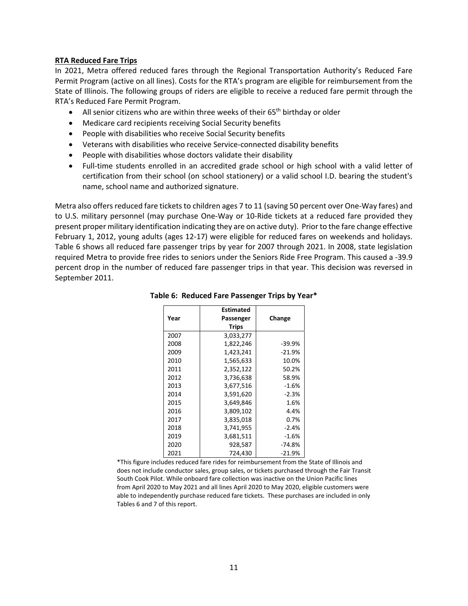## **RTA Reduced Fare Trips**

In 2021, Metra offered reduced fares through the Regional Transportation Authority's Reduced Fare Permit Program (active on all lines). Costs for the RTA's program are eligible for reimbursement from the State of Illinois. The following groups of riders are eligible to receive a reduced fare permit through the RTA's Reduced Fare Permit Program.

- All senior citizens who are within three weeks of their  $65<sup>th</sup>$  birthday or older
- Medicare card recipients receiving Social Security benefits
- People with disabilities who receive Social Security benefits
- Veterans with disabilities who receive Service-connected disability benefits
- People with disabilities whose doctors validate their disability
- Full-time students enrolled in an accredited grade school or high school with a valid letter of certification from their school (on school stationery) or a valid school I.D. bearing the student's name, school name and authorized signature.

Metra also offers reduced fare tickets to children ages 7 to 11 (saving 50 percent over One‐Way fares) and to U.S. military personnel (may purchase One-Way or 10-Ride tickets at a reduced fare provided they present proper military identification indicating they are on active duty). Prior to the fare change effective February 1, 2012, young adults (ages 12‐17) were eligible for reduced fares on weekends and holidays. Table 6 shows all reduced fare passenger trips by year for 2007 through 2021. In 2008, state legislation required Metra to provide free rides to seniors under the Seniors Ride Free Program. This caused a ‐39.9 percent drop in the number of reduced fare passenger trips in that year. This decision was reversed in September 2011.

|      | <b>Estimated</b> |          |
|------|------------------|----------|
| Year | Passenger        | Change   |
|      | <b>Trips</b>     |          |
| 2007 | 3,033,277        |          |
| 2008 | 1,822,246        | $-39.9%$ |
| 2009 | 1,423,241        | $-21.9%$ |
| 2010 | 1,565,633        | 10.0%    |
| 2011 | 2,352,122        | 50.2%    |
| 2012 | 3,736,638        | 58.9%    |
| 2013 | 3,677,516        | $-1.6%$  |
| 2014 | 3,591,620        | $-2.3%$  |
| 2015 | 3,649,846        | 1.6%     |
| 2016 | 3,809,102        | 4.4%     |
| 2017 | 3,835,018        | 0.7%     |
| 2018 | 3,741,955        | $-2.4%$  |
| 2019 | 3,681,511        | $-1.6%$  |
| 2020 | 928,587          | -74.8%   |
| 2021 | 724,430          | $-21.9%$ |

#### **Table 6: Reduced Fare Passenger Trips by Year\***

\*This figure includes reduced fare rides for reimbursement from the State of Illinois and does not include conductor sales, group sales, or tickets purchased through the Fair Transit South Cook Pilot. While onboard fare collection was inactive on the Union Pacific lines from April 2020 to May 2021 and all lines April 2020 to May 2020, eligible customers were able to independently purchase reduced fare tickets. These purchases are included in only Tables 6 and 7 of this report.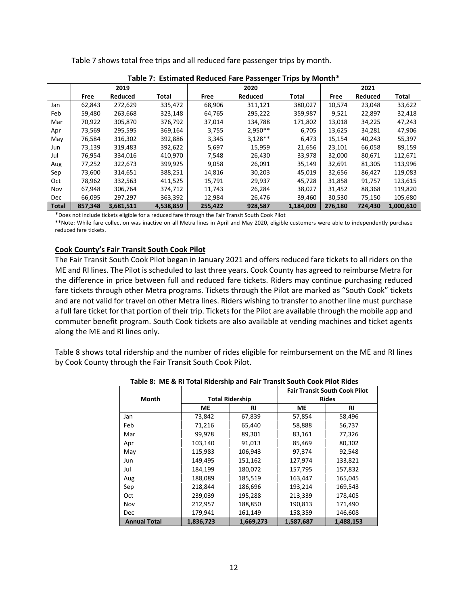| Table 7: Estimated Reduced Fare Passenger Trips by Month* |         |           |           |         |           |           |         |         |           |  |
|-----------------------------------------------------------|---------|-----------|-----------|---------|-----------|-----------|---------|---------|-----------|--|
|                                                           |         | 2019      |           |         | 2020      |           | 2021    |         |           |  |
|                                                           | Free    | Reduced   | Total     | Free    | Reduced   | Total     | Free    | Reduced | Total     |  |
| Jan                                                       | 62,843  | 272,629   | 335,472   | 68,906  | 311,121   | 380,027   | 10,574  | 23,048  | 33,622    |  |
| Feb                                                       | 59,480  | 263,668   | 323,148   | 64,765  | 295,222   | 359,987   | 9,521   | 22,897  | 32,418    |  |
| Mar                                                       | 70,922  | 305,870   | 376,792   | 37,014  | 134,788   | 171,802   | 13,018  | 34,225  | 47,243    |  |
| Apr                                                       | 73,569  | 295,595   | 369,164   | 3,755   | $2,950**$ | 6,705     | 13,625  | 34,281  | 47,906    |  |
| May                                                       | 76,584  | 316,302   | 392,886   | 3,345   | $3,128**$ | 6,473     | 15,154  | 40,243  | 55,397    |  |
| Jun                                                       | 73,139  | 319,483   | 392,622   | 5,697   | 15,959    | 21,656    | 23,101  | 66,058  | 89,159    |  |
| Jul                                                       | 76,954  | 334,016   | 410,970   | 7,548   | 26,430    | 33,978    | 32,000  | 80,671  | 112,671   |  |
| Aug                                                       | 77,252  | 322,673   | 399,925   | 9,058   | 26,091    | 35,149    | 32,691  | 81,305  | 113,996   |  |
| Sep                                                       | 73,600  | 314,651   | 388,251   | 14,816  | 30,203    | 45,019    | 32,656  | 86,427  | 119,083   |  |
| Oct                                                       | 78,962  | 332,563   | 411,525   | 15,791  | 29,937    | 45,728    | 31,858  | 91,757  | 123,615   |  |
| Nov                                                       | 67,948  | 306,764   | 374,712   | 11,743  | 26,284    | 38,027    | 31,452  | 88,368  | 119,820   |  |
| Dec                                                       | 66.095  | 297.297   | 363,392   | 12,984  | 26,476    | 39,460    | 30,530  | 75,150  | 105,680   |  |
| <b>Total</b>                                              | 857,348 | 3,681,511 | 4,538,859 | 255,422 | 928,587   | 1,184,009 | 276,180 | 724,430 | 1,000,610 |  |

Table 7 shows total free trips and all reduced fare passenger trips by month.

\*Does not include tickets eligible for a reduced fare through the Fair Transit South Cook Pilot

\*\*Note: While fare collection was inactive on all Metra lines in April and May 2020, eligible customers were able to independently purchase reduced fare tickets.

#### **Cook County's Fair Transit South Cook Pilot**

The Fair Transit South Cook Pilot began in January 2021 and offers reduced fare tickets to all riders on the ME and RI lines. The Pilot is scheduled to last three years. Cook County has agreed to reimburse Metra for the difference in price between full and reduced fare tickets. Riders may continue purchasing reduced fare tickets through other Metra programs. Tickets through the Pilot are marked as "South Cook" tickets and are not valid for travel on other Metra lines. Riders wishing to transfer to another line must purchase a full fare ticket for that portion of their trip. Tickets for the Pilot are available through the mobile app and commuter benefit program. South Cook tickets are also available at vending machines and ticket agents along the ME and RI lines only.

Table 8 shows total ridership and the number of rides eligible for reimbursement on the ME and RI lines by Cook County through the Fair Transit South Cook Pilot.

|                     |           |                        | <b>Fair Transit South Cook Pilot</b> |              |  |  |
|---------------------|-----------|------------------------|--------------------------------------|--------------|--|--|
| Month               |           | <b>Total Ridership</b> |                                      | <b>Rides</b> |  |  |
|                     | МE        | RI                     | <b>ME</b>                            | RI           |  |  |
| Jan                 | 73,842    | 67,839                 | 57,854                               | 58,496       |  |  |
| Feb                 | 71,216    | 65,440                 | 58,888                               | 56,737       |  |  |
| Mar                 | 99,978    | 89,301                 | 83,161                               | 77,326       |  |  |
| Apr                 | 103,140   | 91,013                 | 85,469                               | 80,302       |  |  |
| May                 | 115,983   | 106,943                | 97,374                               | 92,548       |  |  |
| Jun                 | 149,495   | 151,162                | 127,974                              | 133,821      |  |  |
| Jul                 | 184,199   | 180,072                | 157,795                              | 157,832      |  |  |
| Aug                 | 188,089   | 185,519                | 163,447                              | 165,045      |  |  |
| Sep                 | 218,844   | 186,696                | 193,214                              | 169,543      |  |  |
| <b>Oct</b>          | 239,039   | 195,288                | 213,339                              | 178,405      |  |  |
| Nov                 | 212,957   | 188,850                | 190,813                              | 171,490      |  |  |
| <b>Dec</b>          | 179,941   | 161,149                | 158,359                              | 146,608      |  |  |
| <b>Annual Total</b> | 1,836,723 | 1,669,273              | 1,587,687                            | 1,488,153    |  |  |

 **Table 8: ME & RI Total Ridership and Fair Transit South Cook Pilot Rides**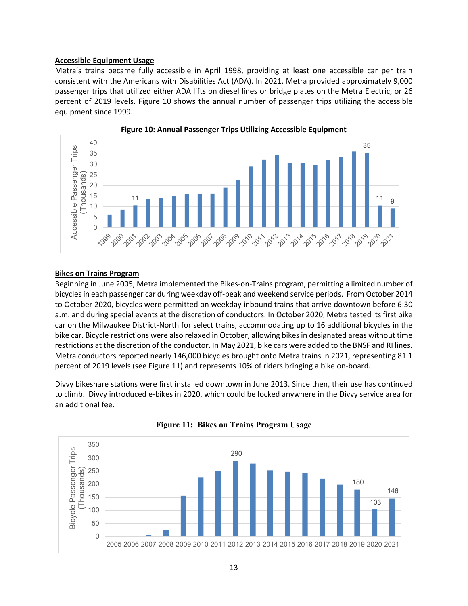## **Accessible Equipment Usage**

Metra's trains became fully accessible in April 1998, providing at least one accessible car per train consistent with the Americans with Disabilities Act (ADA). In 2021, Metra provided approximately 9,000 passenger trips that utilized either ADA lifts on diesel lines or bridge plates on the Metra Electric, or 26 percent of 2019 levels. Figure 10 shows the annual number of passenger trips utilizing the accessible equipment since 1999.





#### **Bikes on Trains Program**

Beginning in June 2005, Metra implemented the Bikes‐on‐Trains program, permitting a limited number of bicycles in each passenger car during weekday off‐peak and weekend service periods. From October 2014 to October 2020, bicycles were permitted on weekday inbound trains that arrive downtown before 6:30 a.m. and during special events at the discretion of conductors. In October 2020, Metra tested its first bike car on the Milwaukee District‐North for select trains, accommodating up to 16 additional bicycles in the bike car. Bicycle restrictions were also relaxed in October, allowing bikes in designated areas without time restrictions at the discretion of the conductor. In May 2021, bike cars were added to the BNSF and RI lines. Metra conductors reported nearly 146,000 bicycles brought onto Metra trains in 2021, representing 81.1 percent of 2019 levels (see Figure 11) and represents 10% of riders bringing a bike on‐board.

Divvy bikeshare stations were first installed downtown in June 2013. Since then, their use has continued to climb. Divvy introduced e‐bikes in 2020, which could be locked anywhere in the Divvy service area for an additional fee.



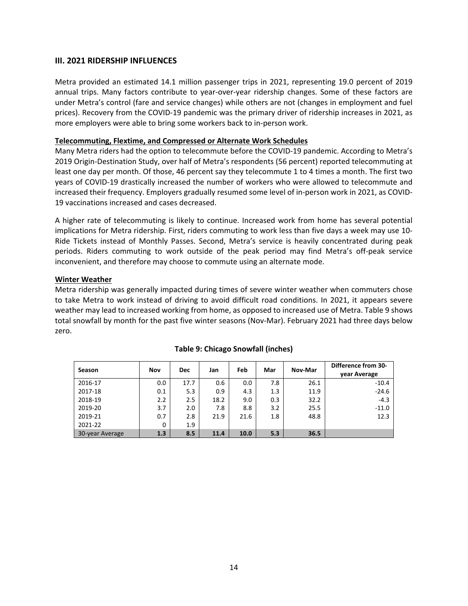## **III. 2021 RIDERSHIP INFLUENCES**

Metra provided an estimated 14.1 million passenger trips in 2021, representing 19.0 percent of 2019 annual trips. Many factors contribute to year-over-year ridership changes. Some of these factors are under Metra's control (fare and service changes) while others are not (changes in employment and fuel prices). Recovery from the COVID‐19 pandemic was the primary driver of ridership increases in 2021, as more employers were able to bring some workers back to in‐person work.

## **Telecommuting, Flextime, and Compressed or Alternate Work Schedules**

Many Metra riders had the option to telecommute before the COVID-19 pandemic. According to Metra's 2019 Origin‐Destination Study, over half of Metra's respondents (56 percent) reported telecommuting at least one day per month. Of those, 46 percent say they telecommute 1 to 4 times a month. The first two years of COVID‐19 drastically increased the number of workers who were allowed to telecommute and increased their frequency. Employers gradually resumed some level of in-person work in 2021, as COVID-19 vaccinations increased and cases decreased.

A higher rate of telecommuting is likely to continue. Increased work from home has several potential implications for Metra ridership. First, riders commuting to work less than five days a week may use 10‐ Ride Tickets instead of Monthly Passes. Second, Metra's service is heavily concentrated during peak periods. Riders commuting to work outside of the peak period may find Metra's off-peak service inconvenient, and therefore may choose to commute using an alternate mode.

## **Winter Weather**

Metra ridership was generally impacted during times of severe winter weather when commuters chose to take Metra to work instead of driving to avoid difficult road conditions. In 2021, it appears severe weather may lead to increased working from home, as opposed to increased use of Metra. Table 9 shows total snowfall by month for the past five winter seasons (Nov‐Mar). February 2021 had three days below zero.

| Season          | Nov | <b>Dec</b> | Jan  | Feb  | Mar | Nov-Mar | Difference from 30-<br>vear Average |
|-----------------|-----|------------|------|------|-----|---------|-------------------------------------|
| 2016-17         | 0.0 | 17.7       | 0.6  | 0.0  | 7.8 | 26.1    | $-10.4$                             |
| 2017-18         | 0.1 | 5.3        | 0.9  | 4.3  | 1.3 | 11.9    | $-24.6$                             |
| 2018-19         | 2.2 | 2.5        | 18.2 | 9.0  | 0.3 | 32.2    | $-4.3$                              |
| 2019-20         | 3.7 | 2.0        | 7.8  | 8.8  | 3.2 | 25.5    | $-11.0$                             |
| 2019-21         | 0.7 | 2.8        | 21.9 | 21.6 | 1.8 | 48.8    | 12.3                                |
| 2021-22         | 0   | 1.9        |      |      |     |         |                                     |
| 30-year Average | 1.3 | 8.5        | 11.4 | 10.0 | 5.3 | 36.5    |                                     |

## **Table 9: Chicago Snowfall (inches)**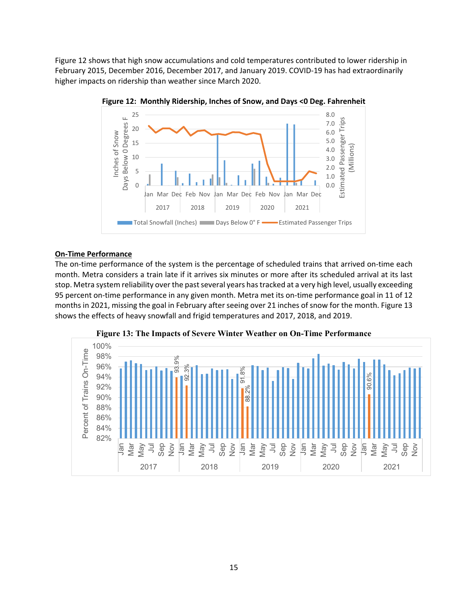Figure 12 shows that high snow accumulations and cold temperatures contributed to lower ridership in February 2015, December 2016, December 2017, and January 2019. COVID‐19 has had extraordinarily higher impacts on ridership than weather since March 2020.



**Figure 12: Monthly Ridership, Inches of Snow, and Days <0 Deg. Fahrenheit** 

## **On‐Time Performance**

The on-time performance of the system is the percentage of scheduled trains that arrived on-time each month. Metra considers a train late if it arrives six minutes or more after its scheduled arrival at its last stop. Metra system reliability over the past several years has tracked at a very high level, usually exceeding 95 percent on-time performance in any given month. Metra met its on-time performance goal in 11 of 12 months in 2021, missing the goal in February after seeing over 21 inches of snow for the month. Figure 13 shows the effects of heavy snowfall and frigid temperatures and 2017, 2018, and 2019.



**Figure 13: The Impacts of Severe Winter Weather on On-Time Performance**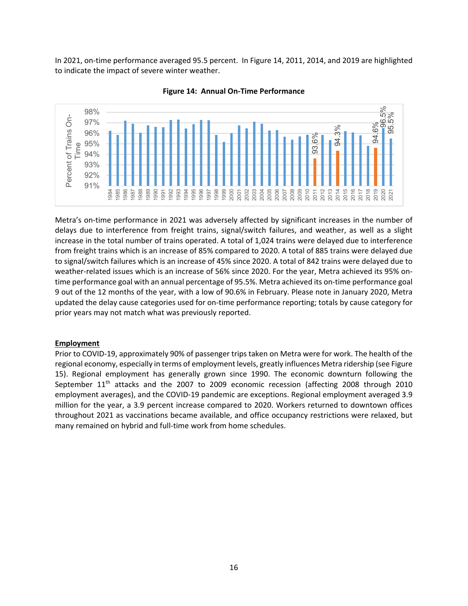In 2021, on-time performance averaged 95.5 percent. In Figure 14, 2011, 2014, and 2019 are highlighted to indicate the impact of severe winter weather.





Metra's on-time performance in 2021 was adversely affected by significant increases in the number of delays due to interference from freight trains, signal/switch failures, and weather, as well as a slight increase in the total number of trains operated. A total of 1,024 trains were delayed due to interference from freight trains which is an increase of 85% compared to 2020. A total of 885 trains were delayed due to signal/switch failures which is an increase of 45% since 2020. A total of 842 trains were delayed due to weather-related issues which is an increase of 56% since 2020. For the year, Metra achieved its 95% ontime performance goal with an annual percentage of 95.5%. Metra achieved its on-time performance goal 9 out of the 12 months of the year, with a low of 90.6% in February. Please note in January 2020, Metra updated the delay cause categories used for on‐time performance reporting; totals by cause category for prior years may not match what was previously reported.

## **Employment**

Prior to COVID‐19, approximately 90% of passenger trips taken on Metra were for work. The health of the regional economy, especially in terms of employment levels, greatly influences Metra ridership (see Figure 15). Regional employment has generally grown since 1990. The economic downturn following the September 11<sup>th</sup> attacks and the 2007 to 2009 economic recession (affecting 2008 through 2010 employment averages), and the COVID‐19 pandemic are exceptions. Regional employment averaged 3.9 million for the year, a 3.9 percent increase compared to 2020. Workers returned to downtown offices throughout 2021 as vaccinations became available, and office occupancy restrictions were relaxed, but many remained on hybrid and full-time work from home schedules.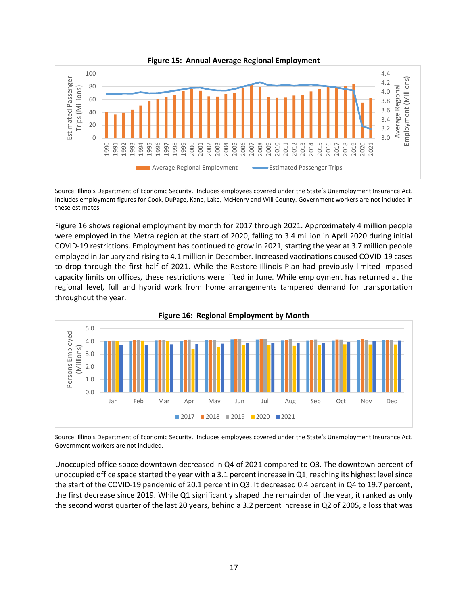

**Figure 15: Annual Average Regional Employment**

Source: Illinois Department of Economic Security. Includes employees covered under the State's Unemployment Insurance Act. Includes employment figures for Cook, DuPage, Kane, Lake, McHenry and Will County. Government workers are not included in these estimates.

Figure 16 shows regional employment by month for 2017 through 2021. Approximately 4 million people were employed in the Metra region at the start of 2020, falling to 3.4 million in April 2020 during initial COVID‐19 restrictions. Employment has continued to grow in 2021, starting the year at 3.7 million people employed in January and rising to 4.1 million in December. Increased vaccinations caused COVID‐19 cases to drop through the first half of 2021. While the Restore Illinois Plan had previously limited imposed capacity limits on offices, these restrictions were lifted in June. While employment has returned at the regional level, full and hybrid work from home arrangements tampered demand for transportation throughout the year.



**Figure 16: Regional Employment by Month** 

Source: Illinois Department of Economic Security. Includes employees covered under the State's Unemployment Insurance Act. Government workers are not included.

Unoccupied office space downtown decreased in Q4 of 2021 compared to Q3. The downtown percent of unoccupied office space started the year with a 3.1 percent increase in Q1, reaching its highest level since the start of the COVID‐19 pandemic of 20.1 percent in Q3. It decreased 0.4 percent in Q4 to 19.7 percent, the first decrease since 2019. While Q1 significantly shaped the remainder of the year, it ranked as only the second worst quarter of the last 20 years, behind a 3.2 percent increase in Q2 of 2005, a loss that was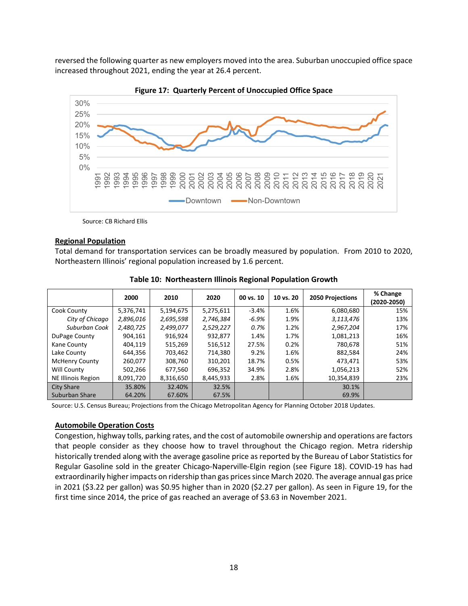reversed the following quarter as new employers moved into the area. Suburban unoccupied office space increased throughout 2021, ending the year at 26.4 percent.



**Figure 17: Quarterly Percent of Unoccupied Office Space** 

Source: CB Richard Ellis

#### **Regional Population**

Total demand for transportation services can be broadly measured by population. From 2010 to 2020, Northeastern Illinois' regional population increased by 1.6 percent.

|                       | 2000      | 2010      | 2020      | 00 vs. 10 | 10 vs. 20 | 2050 Projections | % Change<br>(2020-2050) |
|-----------------------|-----------|-----------|-----------|-----------|-----------|------------------|-------------------------|
| Cook County           | 5,376,741 | 5,194,675 | 5,275,611 | $-3.4%$   | 1.6%      | 6,080,680        | 15%                     |
| City of Chicago       | 2,896,016 | 2,695,598 | 2,746,384 | $-6.9%$   | 1.9%      | 3,113,476        | 13%                     |
| Suburban Cook         | 2,480,725 | 2,499,077 | 2,529,227 | 0.7%      | 1.2%      | 2,967,204        | 17%                     |
| DuPage County         | 904,161   | 916,924   | 932,877   | 1.4%      | 1.7%      | 1,081,213        | 16%                     |
| Kane County           | 404.119   | 515,269   | 516,512   | 27.5%     | 0.2%      | 780,678          | 51%                     |
| Lake County           | 644,356   | 703,462   | 714.380   | 9.2%      | 1.6%      | 882,584          | 24%                     |
| <b>McHenry County</b> | 260.077   | 308,760   | 310.201   | 18.7%     | 0.5%      | 473,471          | 53%                     |
| Will County           | 502,266   | 677,560   | 696,352   | 34.9%     | 2.8%      | 1,056,213        | 52%                     |
| NE Illinois Region    | 8,091,720 | 8,316,650 | 8,445,933 | 2.8%      | 1.6%      | 10,354,839       | 23%                     |
| <b>City Share</b>     | 35.80%    | 32.40%    | 32.5%     |           |           | 30.1%            |                         |
| Suburban Share        | 64.20%    | 67.60%    | 67.5%     |           |           | 69.9%            |                         |

**Table 10: Northeastern Illinois Regional Population Growth** 

Source: U.S. Census Bureau; Projections from the Chicago Metropolitan Agency for Planning October 2018 Updates.

#### **Automobile Operation Costs**

Congestion, highway tolls, parking rates, and the cost of automobile ownership and operations are factors that people consider as they choose how to travel throughout the Chicago region. Metra ridership historically trended along with the average gasoline price as reported by the Bureau of Labor Statistics for Regular Gasoline sold in the greater Chicago‐Naperville‐Elgin region (see Figure 18). COVID‐19 has had extraordinarily higher impacts on ridership than gas prices since March 2020. The average annual gas price in 2021 (\$3.22 per gallon) was \$0.95 higher than in 2020 (\$2.27 per gallon). As seen in Figure 19, for the first time since 2014, the price of gas reached an average of \$3.63 in November 2021.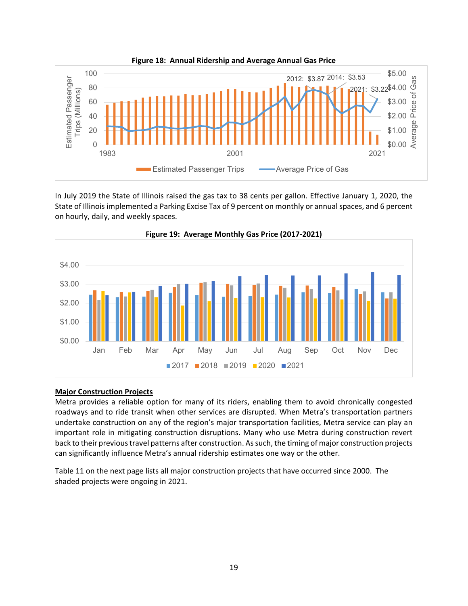

**Figure 18: Annual Ridership and Average Annual Gas Price** 

In July 2019 the State of Illinois raised the gas tax to 38 cents per gallon. Effective January 1, 2020, the State of Illinois implemented a Parking Excise Tax of 9 percent on monthly or annual spaces, and 6 percent on hourly, daily, and weekly spaces.





## **Major Construction Projects**

Metra provides a reliable option for many of its riders, enabling them to avoid chronically congested roadways and to ride transit when other services are disrupted. When Metra's transportation partners undertake construction on any of the region's major transportation facilities, Metra service can play an important role in mitigating construction disruptions. Many who use Metra during construction revert back to their previous travel patterns after construction. As such, the timing of major construction projects can significantly influence Metra's annual ridership estimates one way or the other.

Table 11 on the next page lists all major construction projects that have occurred since 2000. The shaded projects were ongoing in 2021.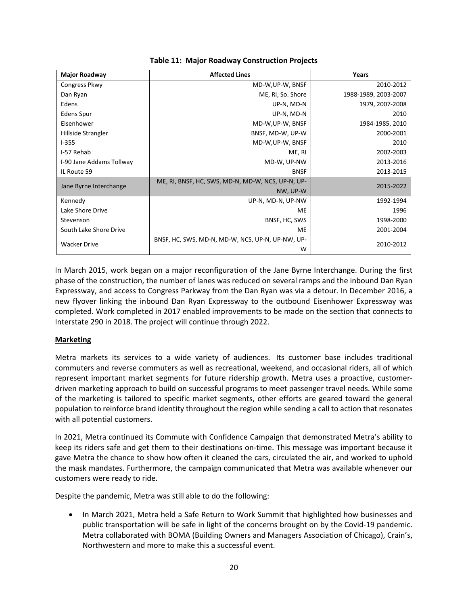| <b>Major Roadway</b>     | <b>Affected Lines</b>                                 | Years                |
|--------------------------|-------------------------------------------------------|----------------------|
| Congress Pkwy            | MD-W, UP-W, BNSF                                      | 2010-2012            |
| Dan Ryan                 | ME, RI, So. Shore                                     | 1988-1989, 2003-2007 |
| Edens                    | UP-N, MD-N                                            | 1979, 2007-2008      |
| Edens Spur               | UP-N, MD-N                                            | 2010                 |
| Eisenhower               | MD-W, UP-W, BNSF                                      | 1984-1985, 2010      |
| Hillside Strangler       | BNSF, MD-W, UP-W                                      | 2000-2001            |
| $1 - 355$                | MD-W, UP-W, BNSF                                      | 2010                 |
| I-57 Rehab               | ME, RI                                                | 2002-2003            |
| I-90 Jane Addams Tollway | MD-W, UP-NW                                           | 2013-2016            |
| IL Route 59              | <b>BNSF</b>                                           | 2013-2015            |
| Jane Byrne Interchange   | ME, RI, BNSF, HC, SWS, MD-N, MD-W, NCS, UP-N, UP-     | 2015-2022            |
|                          | NW, UP-W                                              |                      |
| Kennedy                  | UP-N, MD-N, UP-NW                                     | 1992-1994            |
| Lake Shore Drive         | ME                                                    | 1996                 |
| Stevenson                | BNSF, HC, SWS                                         | 1998-2000            |
| South Lake Shore Drive   | ME                                                    | 2001-2004            |
| <b>Wacker Drive</b>      | BNSF, HC, SWS, MD-N, MD-W, NCS, UP-N, UP-NW, UP-<br>w | 2010-2012            |

## **Table 11: Major Roadway Construction Projects**

In March 2015, work began on a major reconfiguration of the Jane Byrne Interchange. During the first phase of the construction, the number of lanes was reduced on several ramps and the inbound Dan Ryan Expressway, and access to Congress Parkway from the Dan Ryan was via a detour. In December 2016, a new flyover linking the inbound Dan Ryan Expressway to the outbound Eisenhower Expressway was completed. Work completed in 2017 enabled improvements to be made on the section that connects to Interstate 290 in 2018. The project will continue through 2022.

## **Marketing**

Metra markets its services to a wide variety of audiences. Its customer base includes traditional commuters and reverse commuters as well as recreational, weekend, and occasional riders, all of which represent important market segments for future ridership growth. Metra uses a proactive, customer‐ driven marketing approach to build on successful programs to meet passenger travel needs. While some of the marketing is tailored to specific market segments, other efforts are geared toward the general population to reinforce brand identity throughout the region while sending a call to action that resonates with all potential customers.

In 2021, Metra continued its Commute with Confidence Campaign that demonstrated Metra's ability to keep its riders safe and get them to their destinations on‐time. This message was important because it gave Metra the chance to show how often it cleaned the cars, circulated the air, and worked to uphold the mask mandates. Furthermore, the campaign communicated that Metra was available whenever our customers were ready to ride.

Despite the pandemic, Metra was still able to do the following:

 In March 2021, Metra held a Safe Return to Work Summit that highlighted how businesses and public transportation will be safe in light of the concerns brought on by the Covid‐19 pandemic. Metra collaborated with BOMA (Building Owners and Managers Association of Chicago), Crain's, Northwestern and more to make this a successful event.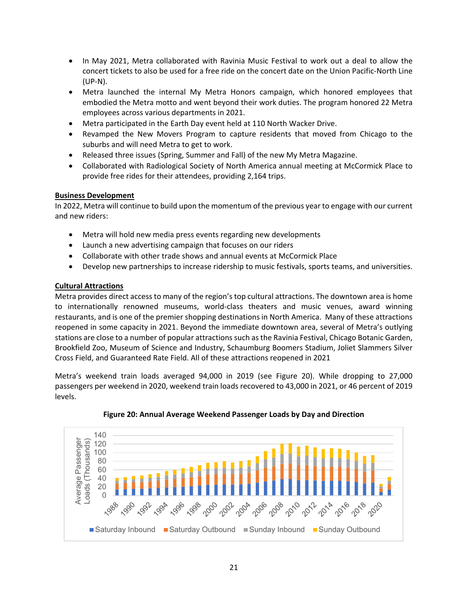- In May 2021, Metra collaborated with Ravinia Music Festival to work out a deal to allow the concert tickets to also be used for a free ride on the concert date on the Union Pacific‐North Line (UP‐N).
- Metra launched the internal My Metra Honors campaign, which honored employees that embodied the Metra motto and went beyond their work duties. The program honored 22 Metra employees across various departments in 2021.
- Metra participated in the Earth Day event held at 110 North Wacker Drive.
- Revamped the New Movers Program to capture residents that moved from Chicago to the suburbs and will need Metra to get to work.
- Released three issues (Spring, Summer and Fall) of the new My Metra Magazine.
- Collaborated with Radiological Society of North America annual meeting at McCormick Place to provide free rides for their attendees, providing 2,164 trips.

## **Business Development**

In 2022, Metra will continue to build upon the momentum of the previous year to engage with our current and new riders:

- Metra will hold new media press events regarding new developments
- Launch a new advertising campaign that focuses on our riders
- Collaborate with other trade shows and annual events at McCormick Place
- Develop new partnerships to increase ridership to music festivals, sports teams, and universities.

## **Cultural Attractions**

Metra provides direct access to many of the region's top cultural attractions. The downtown area is home to internationally renowned museums, world-class theaters and music venues, award winning restaurants, and is one of the premier shopping destinations in North America. Many of these attractions reopened in some capacity in 2021. Beyond the immediate downtown area, several of Metra's outlying stations are close to a number of popular attractions such as the Ravinia Festival, Chicago Botanic Garden, Brookfield Zoo, Museum of Science and Industry, Schaumburg Boomers Stadium, Joliet Slammers Silver Cross Field, and Guaranteed Rate Field. All of these attractions reopened in 2021

Metra's weekend train loads averaged 94,000 in 2019 (see Figure 20). While dropping to 27,000 passengers per weekend in 2020, weekend train loads recovered to 43,000 in 2021, or 46 percent of 2019 levels.



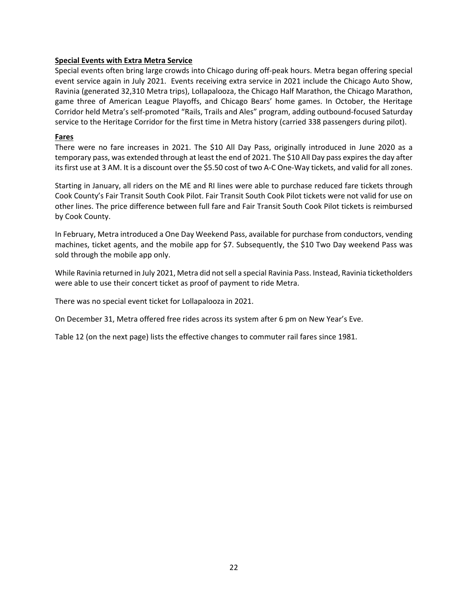## **Special Events with Extra Metra Service**

Special events often bring large crowds into Chicago during off‐peak hours. Metra began offering special event service again in July 2021. Events receiving extra service in 2021 include the Chicago Auto Show, Ravinia (generated 32,310 Metra trips), Lollapalooza, the Chicago Half Marathon, the Chicago Marathon, game three of American League Playoffs, and Chicago Bears' home games. In October, the Heritage Corridor held Metra's self‐promoted "Rails, Trails and Ales" program, adding outbound‐focused Saturday service to the Heritage Corridor for the first time in Metra history (carried 338 passengers during pilot).

## **Fares**

There were no fare increases in 2021. The \$10 All Day Pass, originally introduced in June 2020 as a temporary pass, was extended through at least the end of 2021. The \$10 All Day pass expires the day after its first use at 3 AM. It is a discount over the \$5.50 cost of two A‐C One‐Way tickets, and valid for all zones.

Starting in January, all riders on the ME and RI lines were able to purchase reduced fare tickets through Cook County's Fair Transit South Cook Pilot. Fair Transit South Cook Pilot tickets were not valid for use on other lines. The price difference between full fare and Fair Transit South Cook Pilot tickets is reimbursed by Cook County.

In February, Metra introduced a One Day Weekend Pass, available for purchase from conductors, vending machines, ticket agents, and the mobile app for \$7. Subsequently, the \$10 Two Day weekend Pass was sold through the mobile app only.

While Ravinia returned in July 2021, Metra did not sell a special Ravinia Pass. Instead, Ravinia ticketholders were able to use their concert ticket as proof of payment to ride Metra.

There was no special event ticket for Lollapalooza in 2021.

On December 31, Metra offered free rides across its system after 6 pm on New Year's Eve.

Table 12 (on the next page) lists the effective changes to commuter rail fares since 1981.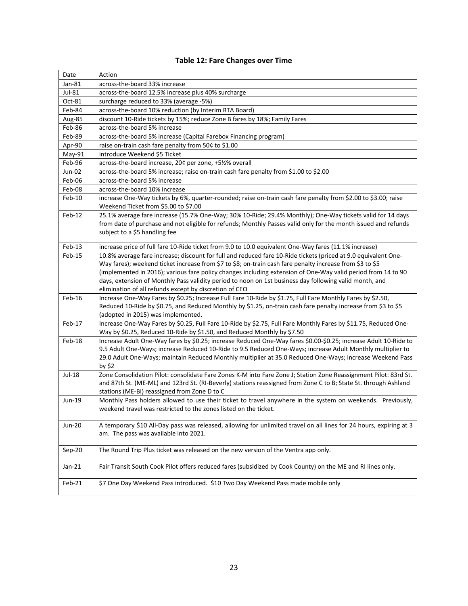| Date          | Action                                                                                                                                                                                                                                                                                                                                                                                                                                               |
|---------------|------------------------------------------------------------------------------------------------------------------------------------------------------------------------------------------------------------------------------------------------------------------------------------------------------------------------------------------------------------------------------------------------------------------------------------------------------|
| Jan-81        | across-the-board 33% increase                                                                                                                                                                                                                                                                                                                                                                                                                        |
| Jul-81        | across-the-board 12.5% increase plus 40% surcharge                                                                                                                                                                                                                                                                                                                                                                                                   |
| Oct-81        | surcharge reduced to 33% (average -5%)                                                                                                                                                                                                                                                                                                                                                                                                               |
| Feb-84        | across-the-board 10% reduction (by Interim RTA Board)                                                                                                                                                                                                                                                                                                                                                                                                |
| Aug-85        | discount 10-Ride tickets by 15%; reduce Zone B fares by 18%; Family Fares                                                                                                                                                                                                                                                                                                                                                                            |
| Feb-86        | across-the-board 5% increase                                                                                                                                                                                                                                                                                                                                                                                                                         |
| Feb-89        | across-the-board 5% increase (Capital Farebox Financing program)                                                                                                                                                                                                                                                                                                                                                                                     |
| Apr-90        | raise on-train cash fare penalty from 50¢ to \$1.00                                                                                                                                                                                                                                                                                                                                                                                                  |
| May-91        | introduce Weekend \$5 Ticket                                                                                                                                                                                                                                                                                                                                                                                                                         |
| Feb-96        | across-the-board increase, 20¢ per zone, +5½% overall                                                                                                                                                                                                                                                                                                                                                                                                |
| Jun-02        | across-the-board 5% increase; raise on-train cash fare penalty from \$1.00 to \$2.00                                                                                                                                                                                                                                                                                                                                                                 |
| Feb-06        | across-the-board 5% increase                                                                                                                                                                                                                                                                                                                                                                                                                         |
| Feb-08        | across-the-board 10% increase                                                                                                                                                                                                                                                                                                                                                                                                                        |
| Feb-10        | increase One-Way tickets by 6%, quarter-rounded; raise on-train cash fare penalty from \$2.00 to \$3.00; raise<br>Weekend Ticket from \$5.00 to \$7.00                                                                                                                                                                                                                                                                                               |
| Feb-12        | 25.1% average fare increase (15.7% One-Way; 30% 10-Ride; 29.4% Monthly); One-Way tickets valid for 14 days<br>from date of purchase and not eligible for refunds; Monthly Passes valid only for the month issued and refunds<br>subject to a \$5 handling fee                                                                                                                                                                                        |
| Feb-13        | increase price of full fare 10-Ride ticket from 9.0 to 10.0 equivalent One-Way fares (11.1% increase)                                                                                                                                                                                                                                                                                                                                                |
| Feb-15        | 10.8% average fare increase; discount for full and reduced fare 10-Ride tickets (priced at 9.0 equivalent One-<br>Way fares); weekend ticket increase from \$7 to \$8; on-train cash fare penalty increase from \$3 to \$5<br>(implemented in 2016); various fare policy changes including extension of One-Way valid period from 14 to 90<br>days, extension of Monthly Pass validity period to noon on 1st business day following valid month, and |
|               | elimination of all refunds except by discretion of CEO                                                                                                                                                                                                                                                                                                                                                                                               |
| Feb-16        | Increase One-Way Fares by \$0.25; Increase Full Fare 10-Ride by \$1.75, Full Fare Monthly Fares by \$2.50,<br>Reduced 10-Ride by \$0.75, and Reduced Monthly by \$1.25, on-train cash fare penalty increase from \$3 to \$5<br>(adopted in 2015) was implemented.                                                                                                                                                                                    |
| Feb-17        | Increase One-Way Fares by \$0.25, Full Fare 10-Ride by \$2.75, Full Fare Monthly Fares by \$11.75, Reduced One-<br>Way by \$0.25, Reduced 10-Ride by \$1.50, and Reduced Monthly by \$7.50                                                                                                                                                                                                                                                           |
| Feb-18        | Increase Adult One-Way fares by \$0.25; increase Reduced One-Way fares \$0.00-\$0.25; increase Adult 10-Ride to<br>9.5 Adult One-Ways; increase Reduced 10-Ride to 9.5 Reduced One-Ways; increase Adult Monthly multiplier to<br>29.0 Adult One-Ways; maintain Reduced Monthly multiplier at 35.0 Reduced One-Ways; increase Weekend Pass<br>by $$2$                                                                                                 |
| Jul-18        | Zone Consolidation Pilot: consolidate Fare Zones K-M into Fare Zone J; Station Zone Reassignment Pilot: 83rd St.<br>and 87th St. (ME-ML) and 123rd St. (RI-Beverly) stations reassigned from Zone C to B; State St. through Ashland<br>stations (ME-BI) reassigned from Zone D to C                                                                                                                                                                  |
| Jun-19        | Monthly Pass holders allowed to use their ticket to travel anywhere in the system on weekends. Previously,<br>weekend travel was restricted to the zones listed on the ticket.                                                                                                                                                                                                                                                                       |
| <b>Jun-20</b> | A temporary \$10 All-Day pass was released, allowing for unlimited travel on all lines for 24 hours, expiring at 3<br>am. The pass was available into 2021.                                                                                                                                                                                                                                                                                          |
| Sep-20        | The Round Trip Plus ticket was released on the new version of the Ventra app only.                                                                                                                                                                                                                                                                                                                                                                   |
| $Jan-21$      | Fair Transit South Cook Pilot offers reduced fares (subsidized by Cook County) on the ME and RI lines only.                                                                                                                                                                                                                                                                                                                                          |
| Feb-21        | \$7 One Day Weekend Pass introduced. \$10 Two Day Weekend Pass made mobile only                                                                                                                                                                                                                                                                                                                                                                      |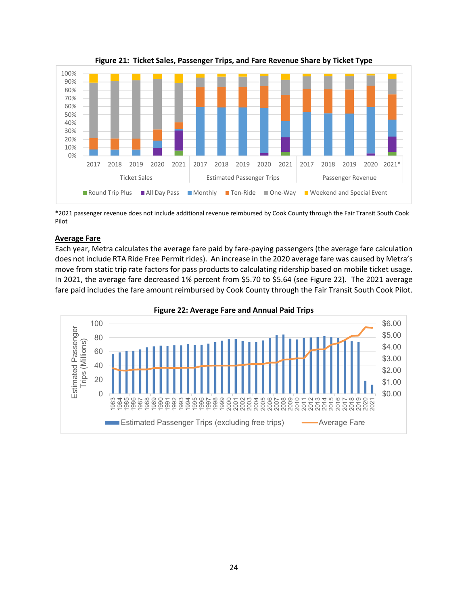

**Figure 21: Ticket Sales, Passenger Trips, and Fare Revenue Share by Ticket Type** 

\*2021 passenger revenue does not include additional revenue reimbursed by Cook County through the Fair Transit South Cook Pilot

## **Average Fare**

Each year, Metra calculates the average fare paid by fare‐paying passengers (the average fare calculation does not include RTA Ride Free Permit rides). An increase in the 2020 average fare was caused by Metra's move from static trip rate factors for pass products to calculating ridership based on mobile ticket usage. In 2021, the average fare decreased 1% percent from \$5.70 to \$5.64 (see Figure 22). The 2021 average fare paid includes the fare amount reimbursed by Cook County through the Fair Transit South Cook Pilot.



**Figure 22: Average Fare and Annual Paid Trips**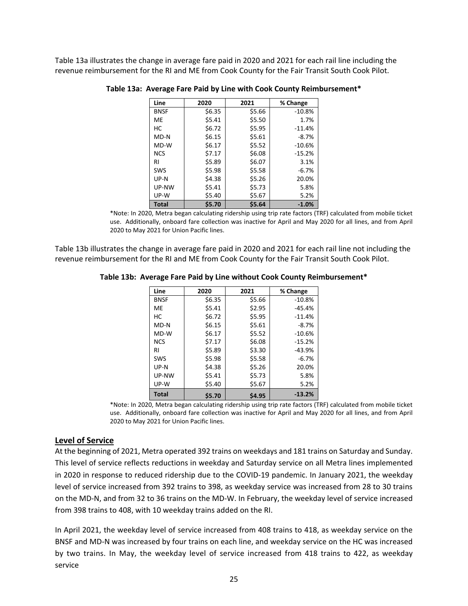Table 13a illustrates the change in average fare paid in 2020 and 2021 for each rail line including the revenue reimbursement for the RI and ME from Cook County for the Fair Transit South Cook Pilot.

| Line         | 2020   | 2021   | % Change |
|--------------|--------|--------|----------|
| <b>BNSF</b>  | \$6.35 | \$5.66 | $-10.8%$ |
| <b>ME</b>    | \$5.41 | \$5.50 | 1.7%     |
| НC           | \$6.72 | \$5.95 | $-11.4%$ |
| MD-N         | \$6.15 | \$5.61 | $-8.7%$  |
| MD-W         | \$6.17 | \$5.52 | $-10.6%$ |
| <b>NCS</b>   | \$7.17 | \$6.08 | $-15.2%$ |
| RI           | \$5.89 | \$6.07 | 3.1%     |
| SWS          | \$5.98 | \$5.58 | $-6.7%$  |
| $UP-N$       | \$4.38 | \$5.26 | 20.0%    |
| UP-NW        | \$5.41 | \$5.73 | 5.8%     |
| UP-W         | \$5.40 | \$5.67 | 5.2%     |
| <b>Total</b> | \$5.70 | \$5.64 | $-1.0%$  |

#### **Table 13a: Average Fare Paid by Line with Cook County Reimbursement\***

\*Note: In 2020, Metra began calculating ridership using trip rate factors (TRF) calculated from mobile ticket use. Additionally, onboard fare collection was inactive for April and May 2020 for all lines, and from April 2020 to May 2021 for Union Pacific lines.

Table 13b illustrates the change in average fare paid in 2020 and 2021 for each rail line not including the revenue reimbursement for the RI and ME from Cook County for the Fair Transit South Cook Pilot.

| Line         | 2020   | 2021   | % Change |
|--------------|--------|--------|----------|
| <b>BNSF</b>  | \$6.35 | \$5.66 | $-10.8%$ |
| <b>ME</b>    | \$5.41 | \$2.95 | $-45.4%$ |
| НC           | \$6.72 | \$5.95 | $-11.4%$ |
| MD-N         | \$6.15 | \$5.61 | $-8.7%$  |
| MD-W         | \$6.17 | \$5.52 | $-10.6%$ |
| <b>NCS</b>   | \$7.17 | \$6.08 | $-15.2%$ |
| RI           | \$5.89 | \$3.30 | $-43.9%$ |
| <b>SWS</b>   | \$5.98 | \$5.58 | $-6.7%$  |
| $UP-N$       | \$4.38 | \$5.26 | 20.0%    |
| UP-NW        | \$5.41 | \$5.73 | 5.8%     |
| UP-W         | \$5.40 | \$5.67 | 5.2%     |
| <b>Total</b> | \$5.70 | \$4.95 | $-13.2%$ |

#### **Table 13b: Average Fare Paid by Line without Cook County Reimbursement\***

\*Note: In 2020, Metra began calculating ridership using trip rate factors (TRF) calculated from mobile ticket use. Additionally, onboard fare collection was inactive for April and May 2020 for all lines, and from April 2020 to May 2021 for Union Pacific lines.

#### **Level of Service**

At the beginning of 2021, Metra operated 392 trains on weekdays and 181 trains on Saturday and Sunday. This level of service reflects reductions in weekday and Saturday service on all Metra lines implemented in 2020 in response to reduced ridership due to the COVID‐19 pandemic. In January 2021, the weekday level of service increased from 392 trains to 398, as weekday service was increased from 28 to 30 trains on the MD‐N, and from 32 to 36 trains on the MD‐W. In February, the weekday level of service increased from 398 trains to 408, with 10 weekday trains added on the RI.

In April 2021, the weekday level of service increased from 408 trains to 418, as weekday service on the BNSF and MD‐N was increased by four trains on each line, and weekday service on the HC was increased by two trains. In May, the weekday level of service increased from 418 trains to 422, as weekday service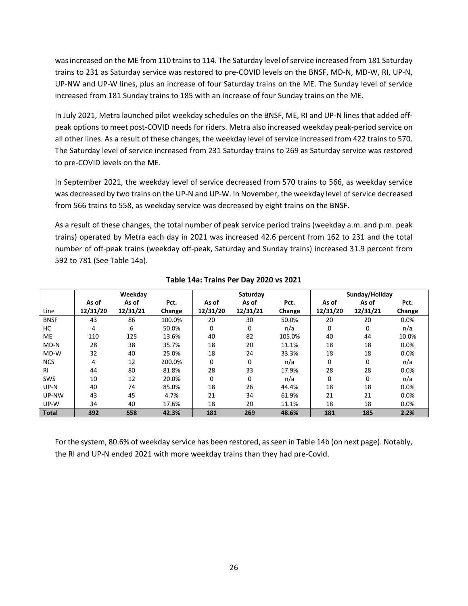was increased on the ME from 110 trains to 114. The Saturday level of service increased from 181 Saturday trains to 231 as Saturday service was restored to pre‐COVID levels on the BNSF, MD‐N, MD‐W, RI, UP‐N, UP‐NW and UP‐W lines, plus an increase of four Saturday trains on the ME. The Sunday level of service increased from 181 Sunday trains to 185 with an increase of four Sunday trains on the ME.

In July 2021, Metra launched pilot weekday schedules on the BNSF, ME, RI and UP‐N lines that added off‐ peak options to meet post‐COVID needs for riders. Metra also increased weekday peak‐period service on all other lines. As a result of these changes, the weekday level of service increased from 422 trains to 570. The Saturday level of service increased from 231 Saturday trains to 269 as Saturday service was restored to pre‐COVID levels on the ME.

In September 2021, the weekday level of service decreased from 570 trains to 566, as weekday service was decreased by two trains on the UP‐N and UP‐W. In November, the weekday level of service decreased from 566 trains to 558, as weekday service was decreased by eight trains on the BNSF.

As a result of these changes, the total number of peak service period trains (weekday a.m. and p.m. peak trains) operated by Metra each day in 2021 was increased 42.6 percent from 162 to 231 and the total number of off‐peak trains (weekday off‐peak, Saturday and Sunday trains) increased 31.9 percent from 592 to 781 (See Table 14a).

|              |          | Weekday  |        |          | Saturday |        |          | Sunday/Holiday |        |
|--------------|----------|----------|--------|----------|----------|--------|----------|----------------|--------|
|              | As of    | As of    | Pct.   | As of    | As of    | Pct.   | As of    | As of          | Pct.   |
| Line         | 12/31/20 | 12/31/21 | Change | 12/31/20 | 12/31/21 | Change | 12/31/20 | 12/31/21       | Change |
| <b>BNSF</b>  | 43       | 86       | 100.0% | 20       | 30       | 50.0%  | 20       | 20             | 0.0%   |
| HC           | 4        | 6        | 50.0%  | 0        | 0        | n/a    | 0        | 0              | n/a    |
| ME           | 110      | 125      | 13.6%  | 40       | 82       | 105.0% | 40       | 44             | 10.0%  |
| MD-N         | 28       | 38       | 35.7%  | 18       | 20       | 11.1%  | 18       | 18             | 0.0%   |
| MD-W         | 32       | 40       | 25.0%  | 18       | 24       | 33.3%  | 18       | 18             | 0.0%   |
| <b>NCS</b>   | 4        | 12       | 200.0% | $\Omega$ | 0        | n/a    | 0        | 0              | n/a    |
| <b>RI</b>    | 44       | 80       | 81.8%  | 28       | 33       | 17.9%  | 28       | 28             | 0.0%   |
| SWS          | 10       | 12       | 20.0%  | 0        | 0        | n/a    | 0        | $\Omega$       | n/a    |
| UP-N         | 40       | 74       | 85.0%  | 18       | 26       | 44.4%  | 18       | 18             | 0.0%   |
| UP-NW        | 43       | 45       | 4.7%   | 21       | 34       | 61.9%  | 21       | 21             | 0.0%   |
| UP-W         | 34       | 40       | 17.6%  | 18       | 20       | 11.1%  | 18       | 18             | 0.0%   |
| <b>Total</b> | 392      | 558      | 42.3%  | 181      | 269      | 48.6%  | 181      | 185            | 2.2%   |

## **Table 14a: Trains Per Day 2020 vs 2021**

For the system, 80.6% of weekday service has been restored, as seen in Table 14b (on next page). Notably, the RI and UP‐N ended 2021 with more weekday trains than they had pre‐Covid.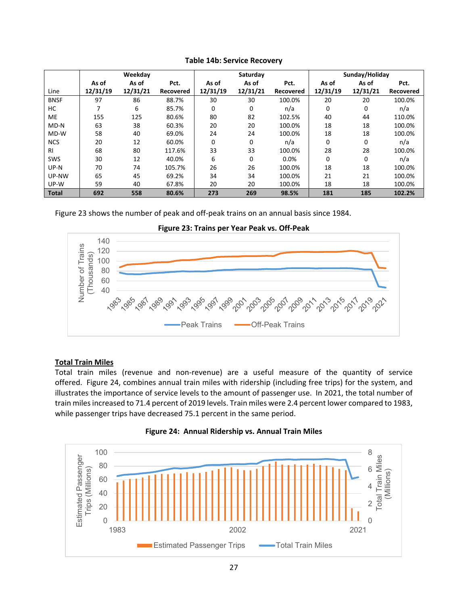|              |          | Weekday  |           |          | Saturday |           | Sunday/Holiday |          |           |  |
|--------------|----------|----------|-----------|----------|----------|-----------|----------------|----------|-----------|--|
|              | As of    | As of    | Pct.      | As of    | As of    | Pct.      | As of          | As of    | Pct.      |  |
| Line         | 12/31/19 | 12/31/21 | Recovered | 12/31/19 | 12/31/21 | Recovered | 12/31/19       | 12/31/21 | Recovered |  |
| <b>BNSF</b>  | 97       | 86       | 88.7%     | 30       | 30       | 100.0%    | 20             | 20       | 100.0%    |  |
| HC           |          | 6        | 85.7%     | 0        | 0        | n/a       | 0              | 0        | n/a       |  |
| <b>ME</b>    | 155      | 125      | 80.6%     | 80       | 82       | 102.5%    | 40             | 44       | 110.0%    |  |
| MD-N         | 63       | 38       | 60.3%     | 20       | 20       | 100.0%    | 18             | 18       | 100.0%    |  |
| MD-W         | 58       | 40       | 69.0%     | 24       | 24       | 100.0%    | 18             | 18       | 100.0%    |  |
| <b>NCS</b>   | 20       | 12       | 60.0%     | 0        | 0        | n/a       | 0              | 0        | n/a       |  |
| <b>RI</b>    | 68       | 80       | 117.6%    | 33       | 33       | 100.0%    | 28             | 28       | 100.0%    |  |
| SWS          | 30       | 12       | 40.0%     | 6        | 0        | 0.0%      | 0              | 0        | n/a       |  |
| UP-N         | 70       | 74       | 105.7%    | 26       | 26       | 100.0%    | 18             | 18       | 100.0%    |  |
| UP-NW        | 65       | 45       | 69.2%     | 34       | 34       | 100.0%    | 21             | 21       | 100.0%    |  |
| UP-W         | 59       | 40       | 67.8%     | 20       | 20       | 100.0%    | 18             | 18       | 100.0%    |  |
| <b>Total</b> | 692      | 558      | 80.6%     | 273      | 269      | 98.5%     | 181            | 185      | 102.2%    |  |

## **Table 14b: Service Recovery**

Figure 23 shows the number of peak and off‐peak trains on an annual basis since 1984.





## **Total Train Miles**

Total train miles (revenue and non-revenue) are a useful measure of the quantity of service offered. Figure 24, combines annual train miles with ridership (including free trips) for the system, and illustrates the importance of service levels to the amount of passenger use. In 2021, the total number of train miles increased to 71.4 percent of 2019 levels. Train miles were 2.4 percent lower compared to 1983, while passenger trips have decreased 75.1 percent in the same period.



**Figure 24: Annual Ridership vs. Annual Train Miles**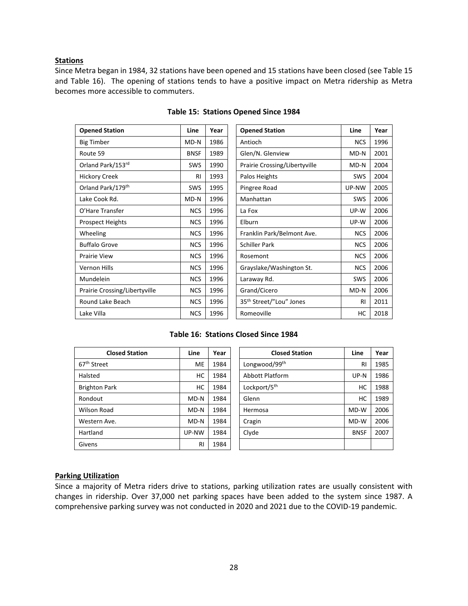## **Stations**

Since Metra began in 1984, 32 stations have been opened and 15 stations have been closed (see Table 15 and Table 16). The opening of stations tends to have a positive impact on Metra ridership as Metra becomes more accessible to commuters.

| <b>Opened Station</b>         | Line        | Year |
|-------------------------------|-------------|------|
| Big Timber                    | MD-N        | 1986 |
| Route 59                      | <b>BNSF</b> | 1989 |
| Orland Park/153rd             | <b>SWS</b>  | 1990 |
| <b>Hickory Creek</b>          | RI          | 1993 |
| Orland Park/179th             | SWS         | 1995 |
| Lake Cook Rd.                 | MD-N        | 1996 |
| O'Hare Transfer               | <b>NCS</b>  | 1996 |
| <b>Prospect Heights</b>       | <b>NCS</b>  | 1996 |
| Wheeling                      | <b>NCS</b>  | 1996 |
| <b>Buffalo Grove</b>          | <b>NCS</b>  | 1996 |
| Prairie View                  | <b>NCS</b>  | 1996 |
| Vernon Hills                  | <b>NCS</b>  | 1996 |
| Mundelein                     | <b>NCS</b>  | 1996 |
| Prairie Crossing/Libertyville | <b>NCS</b>  | 1996 |
| Round Lake Beach              | <b>NCS</b>  | 1996 |
| Lake Villa                    | <b>NCS</b>  | 1996 |

## **Table 15: Stations Opened Since 1984**

| <b>Opened Station</b>         | Line        | Year | <b>Opened Station</b>               | Line       | Year |
|-------------------------------|-------------|------|-------------------------------------|------------|------|
| <b>Big Timber</b>             | $MD-N$      | 1986 | Antioch                             | <b>NCS</b> | 1996 |
| Route 59                      | <b>BNSF</b> | 1989 | Glen/N. Glenview                    | MD-N       | 2001 |
| Orland Park/153rd             | <b>SWS</b>  | 1990 | Prairie Crossing/Libertyville       | $MD-N$     | 2004 |
| <b>Hickory Creek</b>          | RI          | 1993 | Palos Heights                       | SWS        | 2004 |
| Orland Park/179 <sup>th</sup> | SWS         | 1995 | Pingree Road                        | UP-NW      | 2005 |
| Lake Cook Rd.                 | MD-N        | 1996 | Manhattan                           | SWS        | 2006 |
| O'Hare Transfer               | <b>NCS</b>  | 1996 | La Fox                              | UP-W       | 2006 |
| <b>Prospect Heights</b>       | <b>NCS</b>  | 1996 | Elburn                              | UP-W       | 2006 |
| Wheeling                      | <b>NCS</b>  | 1996 | Franklin Park/Belmont Ave.          | <b>NCS</b> | 2006 |
| <b>Buffalo Grove</b>          | <b>NCS</b>  | 1996 | <b>Schiller Park</b>                | <b>NCS</b> | 2006 |
| Prairie View                  | <b>NCS</b>  | 1996 | Rosemont                            | <b>NCS</b> | 2006 |
| Vernon Hills                  | <b>NCS</b>  | 1996 | Grayslake/Washington St.            | <b>NCS</b> | 2006 |
| Mundelein                     | <b>NCS</b>  | 1996 | Laraway Rd.                         | SWS        | 2006 |
| Prairie Crossing/Libertyville | <b>NCS</b>  | 1996 | Grand/Cicero                        | MD-N       | 2006 |
| Round Lake Beach              | <b>NCS</b>  | 1996 | 35 <sup>th</sup> Street/"Lou" Jones | RI         | 2011 |
| Lake Villa                    | <b>NCS</b>  | 1996 | Romeoville                          | HC         | 2018 |

#### **Table 16: Stations Closed Since 1984**

| <b>Closed Station</b>   | Line   | Year | <b>Closed Station</b>    | Line        | Year |
|-------------------------|--------|------|--------------------------|-------------|------|
| 67 <sup>th</sup> Street | ME     | 1984 | Longwood/99th            | RI          | 1985 |
| Halsted                 | НC     | 1984 | Abbott Platform          | $UP-N$      | 1986 |
| <b>Brighton Park</b>    | нc     | 1984 | Lockport/5 <sup>th</sup> | НC          | 1988 |
| Rondout                 | $MD-N$ | 1984 | Glenn                    | НC          | 1989 |
| Wilson Road             | $MD-N$ | 1984 | Hermosa                  | MD-W        | 2006 |
| Western Ave.            | $MD-N$ | 1984 | Cragin                   | MD-W        | 2006 |
| Hartland                | UP-NW  | 1984 | Clyde                    | <b>BNSF</b> | 2007 |
| Givens                  | RI     | 1984 |                          |             |      |

## **Parking Utilization**

Since a majority of Metra riders drive to stations, parking utilization rates are usually consistent with changes in ridership. Over 37,000 net parking spaces have been added to the system since 1987. A comprehensive parking survey was not conducted in 2020 and 2021 due to the COVID‐19 pandemic.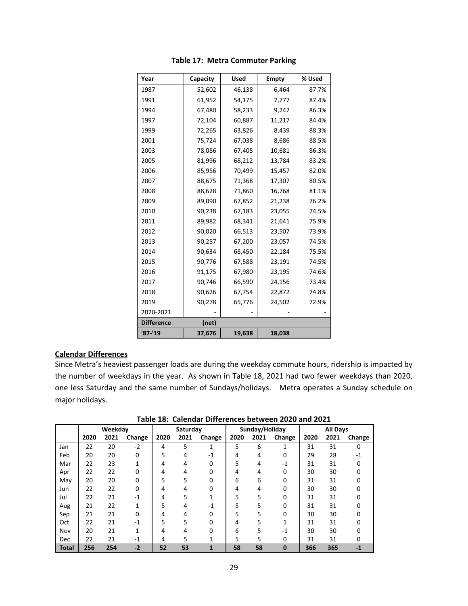| Year              | Capacity | <b>Used</b> | <b>Empty</b> | % Used |
|-------------------|----------|-------------|--------------|--------|
| 1987              | 52,602   | 46,138      | 6,464        | 87.7%  |
| 1991              | 61,952   | 54,175      | 7,777        | 87.4%  |
| 1994              | 67,480   | 58,233      | 9,247        | 86.3%  |
| 1997              | 72,104   | 60,887      | 11,217       | 84.4%  |
| 1999              | 72,265   | 63,826      | 8,439        | 88.3%  |
| 2001              | 75,724   | 67,038      | 8,686        | 88.5%  |
| 2003              | 78,086   | 67,405      | 10,681       | 86.3%  |
| 2005              | 81,996   | 68,212      | 13,784       | 83.2%  |
| 2006              | 85,956   | 70,499      | 15,457       | 82.0%  |
| 2007              | 88,675   | 71,368      | 17,307       | 80.5%  |
| 2008              | 88,628   | 71,860      | 16,768       | 81.1%  |
| 2009              | 89,090   | 67,852      | 21,238       | 76.2%  |
| 2010              | 90,238   | 67,183      | 23,055       | 74.5%  |
| 2011              | 89,982   | 68,341      | 21,641       | 75.9%  |
| 2012              | 90,020   | 66,513      | 23,507       | 73.9%  |
| 2013              | 90,257   | 67,200      | 23,057       | 74.5%  |
| 2014              | 90,634   | 68,450      | 22,184       | 75.5%  |
| 2015              | 90,776   | 67,588      | 23,191       | 74.5%  |
| 2016              | 91,175   | 67,980      | 23,195       | 74.6%  |
| 2017              | 90,746   | 66,590      | 24,156       | 73.4%  |
| 2018              | 90,626   | 67,754      | 22,872       | 74.8%  |
| 2019              | 90,278   | 65,776      | 24,502       | 72.9%  |
| 2020-2021         |          |             |              |        |
| <b>Difference</b> | (net)    |             |              |        |
| '87-'19           | 37,676   | 19,638      | 18,038       |        |

## **Table 17: Metra Commuter Parking**

## **Calendar Differences**

Since Metra's heaviest passenger loads are during the weekday commute hours, ridership is impacted by the number of weekdays in the year. As shown in Table 18, 2021 had two fewer weekdays than 2020, one less Saturday and the same number of Sundays/holidays. Metra operates a Sunday schedule on major holidays.

| Table 18: Calendar Differences between 2020 and 2021 |  |  |  |  |  |  |
|------------------------------------------------------|--|--|--|--|--|--|
|------------------------------------------------------|--|--|--|--|--|--|

|       | Weekday |      |        | Saturday |      |        |      | Sunday/Holiday |          | <b>All Days</b> |      |        |
|-------|---------|------|--------|----------|------|--------|------|----------------|----------|-----------------|------|--------|
|       | 2020    | 2021 | Change | 2020     | 2021 | Change | 2020 | 2021           | Change   | 2020            | 2021 | Change |
| Jan   | 22      | 20   | $-2$   | 4        | 5    | 1      | 5    | 6              | 1        | 31              | 31   | 0      |
| Feb   | 20      | 20   | 0      | 5        | 4    | $-1$   | 4    | 4              | 0        | 29              | 28   | $-1$   |
| Mar   | 22      | 23   |        | 4        | 4    | 0      | 5    | 4              | $-1$     | 31              | 31   | 0      |
| Apr   | 22      | 22   | o      | 4        | 4    | 0      | 4    | 4              | $\Omega$ | 30              | 30   | n      |
| May   | 20      | 20   | 0      | 5        | 5    | 0      | 6    | 6              | 0        | 31              | 31   |        |
| Jun   | 22      | 22   | 0      | 4        | 4    | 0      | 4    | 4              | 0        | 30              | 30   |        |
| Jul   | 22      | 21   | $-1$   | 4        | 5    |        | 5    | 5              | 0        | 31              | 31   |        |
| Aug   | 21      | 22   | 1      | 5        | 4    | $-1$   | 5    | 5              | 0        | 31              | 31   |        |
| Sep   | 21      | 21   | 0      | 4        | 4    | 0      | 5    | 5              | 0        | 30              | 30   |        |
| Oct   | 22      | 21   | $-1$   | 5        | 5    | 0      | 4    | 5              | 1        | 31              | 31   |        |
| Nov   | 20      | 21   | 1      | 4        | 4    | 0      | 6    | 5              | $-1$     | 30              | 30   |        |
| Dec   | 22      | 21   | -1     | 4        | 5    | 1      | 5    | 5              | 0        | 31              | 31   |        |
| Total | 256     | 254  | $-2$   | 52       | 53   | 1      | 58   | 58             | $\bf{0}$ | 366             | 365  | -1     |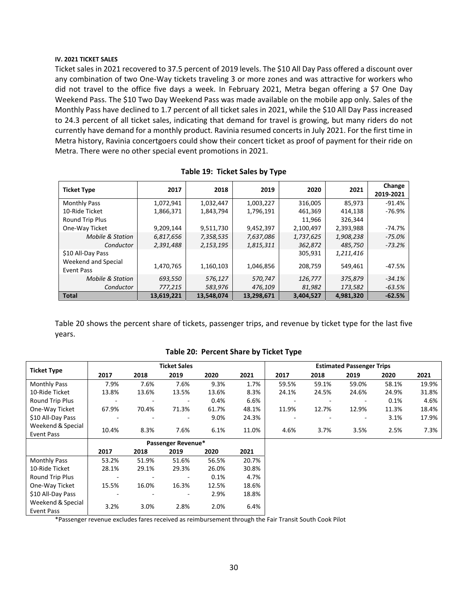#### **IV. 2021 TICKET SALES**

Ticket sales in 2021 recovered to 37.5 percent of 2019 levels. The \$10 All Day Pass offered a discount over any combination of two One‐Way tickets traveling 3 or more zones and was attractive for workers who did not travel to the office five days a week. In February 2021, Metra began offering a \$7 One Day Weekend Pass. The \$10 Two Day Weekend Pass was made available on the mobile app only. Sales of the Monthly Pass have declined to 1.7 percent of all ticket sales in 2021, while the \$10 All Day Pass increased to 24.3 percent of all ticket sales, indicating that demand for travel is growing, but many riders do not currently have demand for a monthly product. Ravinia resumed concerts in July 2021. For the first time in Metra history, Ravinia concertgoers could show their concert ticket as proof of payment for their ride on Metra. There were no other special event promotions in 2021.

| <b>Ticket Type</b>                       | 2017       | 2018       | 2019       | 2020      | 2021      | Change<br>2019-2021 |
|------------------------------------------|------------|------------|------------|-----------|-----------|---------------------|
| <b>Monthly Pass</b>                      | 1,072,941  | 1,032,447  | 1,003,227  | 316,005   | 85,973    | $-91.4%$            |
| 10-Ride Ticket                           | 1,866,371  | 1,843,794  | 1,796,191  | 461,369   | 414.138   | $-76.9%$            |
| Round Trip Plus                          |            |            |            | 11,966    | 326.344   |                     |
| One-Way Ticket                           | 9,209,144  | 9,511,730  | 9,452,397  | 2,100,497 | 2,393,988 | $-74.7%$            |
| <b>Mobile &amp; Station</b>              | 6,817,656  | 7,358,535  | 7,637,086  | 1,737,625 | 1,908,238 | $-75.0%$            |
| Conductor                                | 2,391,488  | 2,153,195  | 1,815,311  | 362,872   | 485,750   | $-73.2%$            |
| \$10 All-Day Pass<br>Weekend and Special |            |            |            | 305,931   | 1,211,416 |                     |
| <b>Event Pass</b>                        | 1,470,765  | 1,160,103  | 1,046,856  | 208,759   | 549,461   | -47.5%              |
| <b>Mobile &amp; Station</b>              | 693,550    | 576,127    | 570,747    | 126,777   | 375,879   | $-34.1%$            |
| Conductor                                | 777,215    | 583,976    | 476,109    | 81,982    | 173,582   | $-63.5%$            |
| <b>Total</b>                             | 13.619.221 | 13.548.074 | 13.298.671 | 3.404.527 | 4.981.320 | $-62.5%$            |

|  | Table 19: Ticket Sales by Type |  |
|--|--------------------------------|--|
|--|--------------------------------|--|

Table 20 shows the percent share of tickets, passenger trips, and revenue by ticket type for the last five years.

|                                 | <b>Ticket Sales</b> |       |                    |       | <b>Estimated Passenger Trips</b> |       |       |       |       |       |
|---------------------------------|---------------------|-------|--------------------|-------|----------------------------------|-------|-------|-------|-------|-------|
| <b>Ticket Type</b>              | 2017                | 2018  | 2019               | 2020  | 2021                             | 2017  | 2018  | 2019  | 2020  | 2021  |
| <b>Monthly Pass</b>             | 7.9%                | 7.6%  | 7.6%               | 9.3%  | 1.7%                             | 59.5% | 59.1% | 59.0% | 58.1% | 19.9% |
| 10-Ride Ticket                  | 13.8%               | 13.6% | 13.5%              | 13.6% | 8.3%                             | 24.1% | 24.5% | 24.6% | 24.9% | 31.8% |
| Round Trip Plus                 |                     |       | ٠                  | 0.4%  | 6.6%                             |       |       |       | 0.1%  | 4.6%  |
| One-Way Ticket                  | 67.9%               | 70.4% | 71.3%              | 61.7% | 48.1%                            | 11.9% | 12.7% | 12.9% | 11.3% | 18.4% |
| \$10 All-Day Pass               |                     |       | -                  | 9.0%  | 24.3%                            |       |       | ۰     | 3.1%  | 17.9% |
| Weekend & Special               | 10.4%               | 8.3%  | 7.6%               | 6.1%  | 11.0%                            | 4.6%  | 3.7%  | 3.5%  | 2.5%  | 7.3%  |
| Event Pass                      |                     |       |                    |       |                                  |       |       |       |       |       |
|                                 |                     |       | Passenger Revenue* |       |                                  |       |       |       |       |       |
|                                 | 2017                | 2018  | 2019               | 2020  | 2021                             |       |       |       |       |       |
| <b>Monthly Pass</b>             | 53.2%               | 51.9% | 51.6%              | 56.5% | 20.7%                            |       |       |       |       |       |
| 10-Ride Ticket                  | 28.1%               | 29.1% | 29.3%              | 26.0% | 30.8%                            |       |       |       |       |       |
| Round Trip Plus                 |                     |       | ٠                  | 0.1%  | 4.7%                             |       |       |       |       |       |
| One-Way Ticket                  | 15.5%               | 16.0% | 16.3%              | 12.5% | 18.6%                            |       |       |       |       |       |
| \$10 All-Day Pass               |                     |       | ٠                  | 2.9%  | 18.8%                            |       |       |       |       |       |
| Weekend & Special<br>Event Pass | 3.2%                | 3.0%  | 2.8%               | 2.0%  | 6.4%                             |       |       |       |       |       |

#### **Table 20: Percent Share by Ticket Type**

\*Passenger revenue excludes fares received as reimbursement through the Fair Transit South Cook Pilot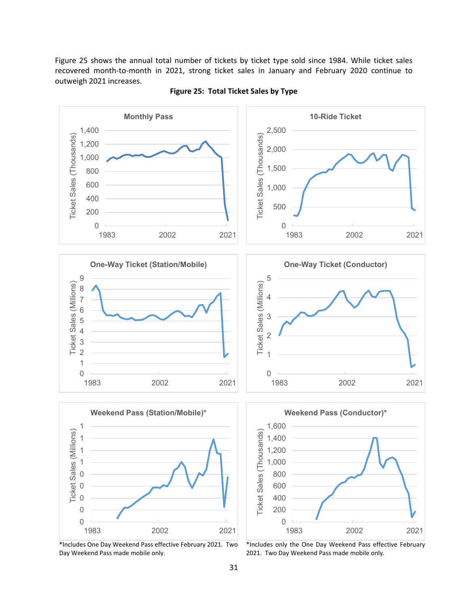Figure 25 shows the annual total number of tickets by ticket type sold since 1984. While ticket sales recovered month-to-month in 2021, strong ticket sales in January and February 2020 continue to outweigh 2021 increases.



**Figure 25: Total Ticket Sales by Type** 

\*Includes One Day Weekend Pass effective February 2021. Two Day Weekend Pass made mobile only.

\*Includes only the One Day Weekend Pass effective February 2021. Two Day Weekend Pass made mobile only.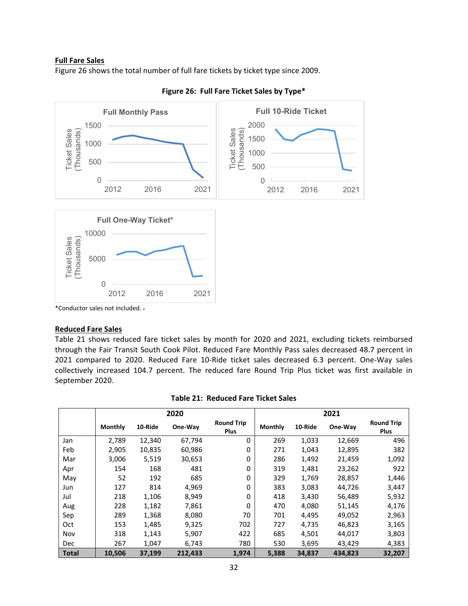## **Full Fare Sales**

Figure 26 shows the total number of full fare tickets by ticket type since 2009.





\*Conductor sales not included. .

#### **Reduced Fare Sales**

Table 21 shows reduced fare ticket sales by month for 2020 and 2021, excluding tickets reimbursed through the Fair Transit South Cook Pilot. Reduced Fare Monthly Pass sales decreased 48.7 percent in 2021 compared to 2020. Reduced Fare 10‐Ride ticket sales decreased 6.3 percent. One‐Way sales collectively increased 104.7 percent. The reduced fare Round Trip Plus ticket was first available in September 2020.

|            |                | 2020    |         | 2021                             |                |         |         |                                  |
|------------|----------------|---------|---------|----------------------------------|----------------|---------|---------|----------------------------------|
|            | <b>Monthly</b> | 10-Ride | One-Way | <b>Round Trip</b><br><b>Plus</b> | <b>Monthly</b> | 10-Ride | One-Way | <b>Round Trip</b><br><b>Plus</b> |
| Jan        | 2,789          | 12,340  | 67,794  | 0                                | 269            | 1,033   | 12,669  | 496                              |
| Feb        | 2,905          | 10,835  | 60,986  | 0                                | 271            | 1,043   | 12,895  | 382                              |
| Mar        | 3,006          | 5,519   | 30,653  | 0                                | 286            | 1,492   | 21,459  | 1,092                            |
| Apr        | 154            | 168     | 481     | 0                                | 319            | 1,481   | 23,262  | 922                              |
| May        | 52             | 192     | 685     | 0                                | 329            | 1,769   | 28,857  | 1,446                            |
| Jun        | 127            | 814     | 4,969   | 0                                | 383            | 3,083   | 44.726  | 3,447                            |
| Jul        | 218            | 1,106   | 8,949   | 0                                | 418            | 3,430   | 56,489  | 5,932                            |
| Aug        | 228            | 1,182   | 7,861   | 0                                | 470            | 4,080   | 51,145  | 4,176                            |
| Sep        | 289            | 1,368   | 8,080   | 70                               | 701            | 4,495   | 49,052  | 2,963                            |
| Oct        | 153            | 1,485   | 9,325   | 702                              | 727            | 4,735   | 46,823  | 3,165                            |
| Nov        | 318            | 1,143   | 5,907   | 422                              | 685            | 4,501   | 44.017  | 3,803                            |
| <b>Dec</b> | 267            | 1,047   | 6,743   | 780                              | 530            | 3,695   | 43,429  | 4,383                            |
| Total      | 10,506         | 37,199  | 212,433 | 1,974                            | 5,388          | 34,837  | 434,823 | 32,207                           |

#### **Table 21: Reduced Fare Ticket Sales**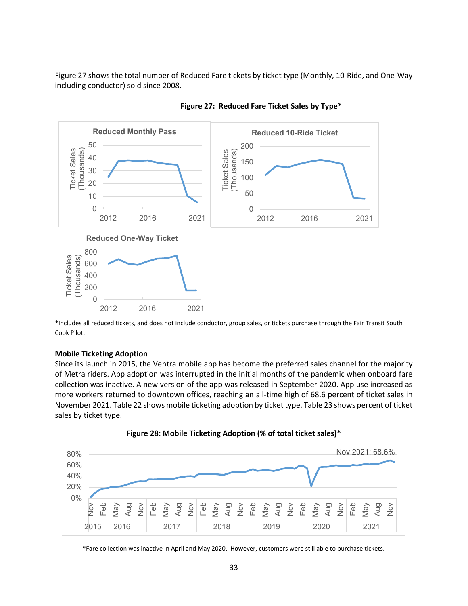Figure 27 shows the total number of Reduced Fare tickets by ticket type (Monthly, 10-Ride, and One-Way including conductor) sold since 2008.



## **Figure 27: Reduced Fare Ticket Sales by Type\***

\*Includes all reduced tickets, and does not include conductor, group sales, or tickets purchase through the Fair Transit South Cook Pilot.

#### **Mobile Ticketing Adoption**

Since its launch in 2015, the Ventra mobile app has become the preferred sales channel for the majority of Metra riders. App adoption was interrupted in the initial months of the pandemic when onboard fare collection was inactive. A new version of the app was released in September 2020. App use increased as more workers returned to downtown offices, reaching an all-time high of 68.6 percent of ticket sales in November 2021. Table 22 shows mobile ticketing adoption by ticket type. Table 23 shows percent of ticket sales by ticket type.





\*Fare collection was inactive in April and May 2020. However, customers were still able to purchase tickets.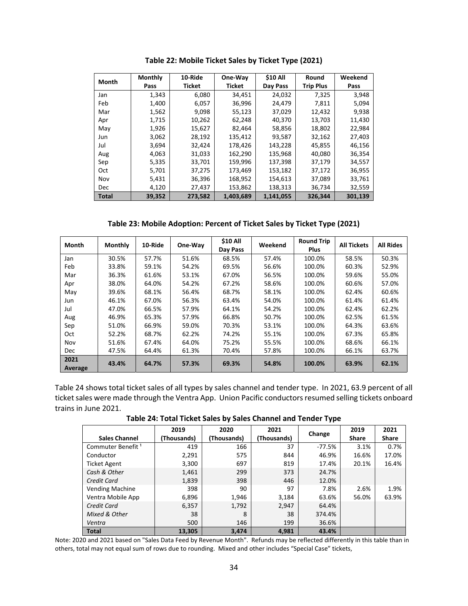| Month        | <b>Monthly</b> | 10-Ride       | One-Way       | <b>\$10 All</b> | Round            | Weekend |
|--------------|----------------|---------------|---------------|-----------------|------------------|---------|
|              | Pass           | <b>Ticket</b> | <b>Ticket</b> | Day Pass        | <b>Trip Plus</b> | Pass    |
| Jan          | 1,343          | 6,080         | 34,451        | 24,032          | 7,325            | 3,948   |
| Feb          | 1,400          | 6,057         | 36,996        | 24,479          | 7.811            | 5,094   |
| Mar          | 1,562          | 9,098         | 55,123        | 37,029          | 12,432           | 9,938   |
| Apr          | 1,715          | 10,262        | 62,248        | 40,370          | 13,703           | 11,430  |
| May          | 1,926          | 15,627        | 82,464        | 58,856          | 18,802           | 22,984  |
| Jun          | 3,062          | 28,192        | 135,412       | 93,587          | 32,162           | 27,403  |
| Jul          | 3,694          | 32,424        | 178,426       | 143,228         | 45,855           | 46,156  |
| Aug          | 4,063          | 31,033        | 162,290       | 135,968         | 40,080           | 36,354  |
| Sep          | 5,335          | 33,701        | 159,996       | 137,398         | 37,179           | 34,557  |
| Oct          | 5,701          | 37,275        | 173,469       | 153,182         | 37,172           | 36,955  |
| Nov          | 5,431          | 36,396        | 168,952       | 154,613         | 37,089           | 33,761  |
| Dec.         | 4,120          | 27,437        | 153,862       | 138,313         | 36,734           | 32,559  |
| <b>Total</b> | 39,352         | 273,582       | 1,403,689     | 1.141.055       | 326,344          | 301,139 |

**Table 22: Mobile Ticket Sales by Ticket Type (2021)** 

**Table 23: Mobile Adoption: Percent of Ticket Sales by Ticket Type (2021)** 

| <b>Month</b>    | <b>Monthly</b> | 10-Ride | One-Way | \$10 All<br>Day Pass | Weekend | <b>Round Trip</b><br><b>Plus</b> | <b>All Tickets</b> | <b>All Rides</b> |
|-----------------|----------------|---------|---------|----------------------|---------|----------------------------------|--------------------|------------------|
|                 | 30.5%          | 57.7%   | 51.6%   | 68.5%                | 57.4%   | 100.0%                           | 58.5%              | 50.3%            |
| Jan             |                |         |         |                      |         |                                  |                    |                  |
| Feb             | 33.8%          | 59.1%   | 54.2%   | 69.5%                | 56.6%   | 100.0%                           | 60.3%              | 52.9%            |
| Mar             | 36.3%          | 61.6%   | 53.1%   | 67.0%                | 56.5%   | 100.0%                           | 59.6%              | 55.0%            |
| Apr             | 38.0%          | 64.0%   | 54.2%   | 67.2%                | 58.6%   | 100.0%                           | 60.6%              | 57.0%            |
| May             | 39.6%          | 68.1%   | 56.4%   | 68.7%                | 58.1%   | 100.0%                           | 62.4%              | 60.6%            |
| Jun             | 46.1%          | 67.0%   | 56.3%   | 63.4%                | 54.0%   | 100.0%                           | 61.4%              | 61.4%            |
| Jul             | 47.0%          | 66.5%   | 57.9%   | 64.1%                | 54.2%   | 100.0%                           | 62.4%              | 62.2%            |
| Aug             | 46.9%          | 65.3%   | 57.9%   | 66.8%                | 50.7%   | 100.0%                           | 62.5%              | 61.5%            |
| Sep             | 51.0%          | 66.9%   | 59.0%   | 70.3%                | 53.1%   | 100.0%                           | 64.3%              | 63.6%            |
| Oct             | 52.2%          | 68.7%   | 62.2%   | 74.2%                | 55.1%   | 100.0%                           | 67.3%              | 65.8%            |
| Nov             | 51.6%          | 67.4%   | 64.0%   | 75.2%                | 55.5%   | 100.0%                           | 68.6%              | 66.1%            |
| <b>Dec</b>      | 47.5%          | 64.4%   | 61.3%   | 70.4%                | 57.8%   | 100.0%                           | 66.1%              | 63.7%            |
| 2021<br>Average | 43.4%          | 64.7%   | 57.3%   | 69.3%                | 54.8%   | 100.0%                           | 63.9%              | 62.1%            |

Table 24 shows total ticket sales of all types by sales channel and tender type. In 2021, 63.9 percent of all ticket sales were made through the Ventra App. Union Pacific conductors resumed selling tickets onboard trains in June 2021.

**Table 24: Total Ticket Sales by Sales Channel and Tender Type** 

|                               | 2019        | 2020        | 2021        |          | 2019         | 2021         |
|-------------------------------|-------------|-------------|-------------|----------|--------------|--------------|
| <b>Sales Channel</b>          | (Thousands) | (Thousands) | (Thousands) | Change   | <b>Share</b> | <b>Share</b> |
| Commuter Benefit <sup>1</sup> | 419         | 166         | 37          | $-77.5%$ | 3.1%         | 0.7%         |
| Conductor                     | 2,291       | 575         | 844         | 46.9%    | 16.6%        | 17.0%        |
| <b>Ticket Agent</b>           | 3,300       | 697         | 819         | 17.4%    | 20.1%        | 16.4%        |
| Cash & Other                  | 1,461       | 299         | 373         | 24.7%    |              |              |
| Credit Card                   | 1,839       | 398         | 446         | 12.0%    |              |              |
| <b>Vending Machine</b>        | 398         | 90          | 97          | 7.8%     | 2.6%         | 1.9%         |
| Ventra Mobile App             | 6,896       | 1,946       | 3,184       | 63.6%    | 56.0%        | 63.9%        |
| <b>Credit Card</b>            | 6,357       | 1,792       | 2,947       | 64.4%    |              |              |
| Mixed & Other                 | 38          | 8           | 38          | 374.4%   |              |              |
| Ventra                        | 500         | 146         | 199         | 36.6%    |              |              |
| <b>Total</b>                  | 13,305      | 3,474       | 4,981       | 43.4%    |              |              |

Note: 2020 and 2021 based on "Sales Data Feed by Revenue Month". Refunds may be reflected differently in this table than in others, total may not equal sum of rows due to rounding. Mixed and other includes "Special Case" tickets,